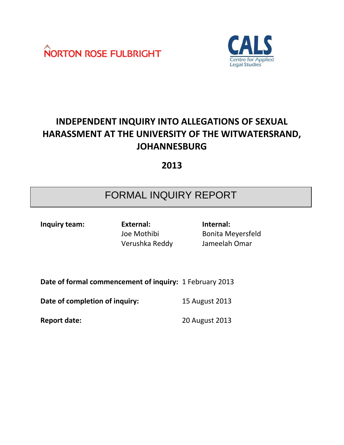



# **INDEPENDENT INQUIRY INTO ALLEGATIONS OF SEXUAL HARASSMENT AT THE UNIVERSITY OF THE WITWATERSRAND, JOHANNESBURG**

**2013**

# FORMAL INQUIRY REPORT

**Inquiry team: External: Internal:** Verushka Reddy Jameelah Omar

Joe Mothibi Bonita Meyersfeld

**Date of formal commencement of inquiry:** 1 February 2013

**Date of completion of inquiry:** 15 August 2013

**Report date:** 20 August 2013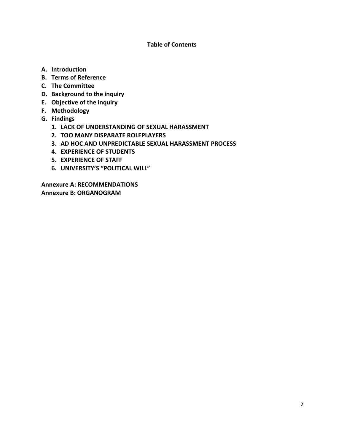#### **Table of Contents**

- **A. Introduction**
- **B. Terms of Reference**
- **C. The Committee**
- **D. Background to the inquiry**
- **E. Objective of the inquiry**
- **F. Methodology**
- **G. Findings** 
	- **1. LACK OF UNDERSTANDING OF SEXUAL HARASSMENT**
	- **2. TOO MANY DISPARATE ROLEPLAYERS**
	- **3. AD HOC AND UNPREDICTABLE SEXUAL HARASSMENT PROCESS**
	- **4. EXPERIENCE OF STUDENTS**
	- **5. EXPERIENCE OF STAFF**
	- **6. UNIVERSITY'S "POLITICAL WILL"**

**Annexure A: RECOMMENDATIONS Annexure B: ORGANOGRAM**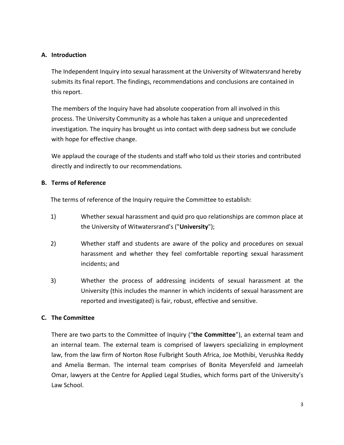#### **A. Introduction**

The Independent Inquiry into sexual harassment at the University of Witwatersrand hereby submits its final report. The findings, recommendations and conclusions are contained in this report.

The members of the Inquiry have had absolute cooperation from all involved in this process. The University Community as a whole has taken a unique and unprecedented investigation. The inquiry has brought us into contact with deep sadness but we conclude with hope for effective change.

We applaud the courage of the students and staff who told us their stories and contributed directly and indirectly to our recommendations.

#### **B. Terms of Reference**

The terms of reference of the Inquiry require the Committee to establish:

- 1) Whether sexual harassment and quid pro quo relationships are common place at the University of Witwatersrand's ("**University**");
- 2) Whether staff and students are aware of the policy and procedures on sexual harassment and whether they feel comfortable reporting sexual harassment incidents; and
- 3) Whether the process of addressing incidents of sexual harassment at the University (this includes the manner in which incidents of sexual harassment are reported and investigated) is fair, robust, effective and sensitive.

#### **C. The Committee**

There are two parts to the Committee of Inquiry ("**the Committee**"), an external team and an internal team. The external team is comprised of lawyers specializing in employment law, from the law firm of Norton Rose Fulbright South Africa, Joe Mothibi, Verushka Reddy and Amelia Berman. The internal team comprises of Bonita Meyersfeld and Jameelah Omar, lawyers at the Centre for Applied Legal Studies, which forms part of the University's Law School.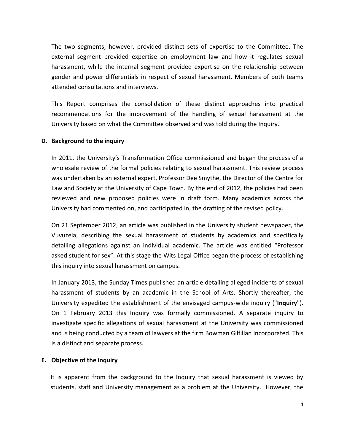The two segments, however, provided distinct sets of expertise to the Committee. The external segment provided expertise on employment law and how it regulates sexual harassment, while the internal segment provided expertise on the relationship between gender and power differentials in respect of sexual harassment. Members of both teams attended consultations and interviews.

This Report comprises the consolidation of these distinct approaches into practical recommendations for the improvement of the handling of sexual harassment at the University based on what the Committee observed and was told during the Inquiry.

#### **D. Background to the inquiry**

In 2011, the University's Transformation Office commissioned and began the process of a wholesale review of the formal policies relating to sexual harassment. This review process was undertaken by an external expert, Professor Dee Smythe, the Director of the Centre for Law and Society at the University of Cape Town. By the end of 2012, the policies had been reviewed and new proposed policies were in draft form. Many academics across the University had commented on, and participated in, the drafting of the revised policy.

On 21 September 2012, an article was published in the University student newspaper, the Vuvuzela, describing the sexual harassment of students by academics and specifically detailing allegations against an individual academic. The article was entitled "Professor asked student for sex". At this stage the Wits Legal Office began the process of establishing this inquiry into sexual harassment on campus.

In January 2013, the Sunday Times published an article detailing alleged incidents of sexual harassment of students by an academic in the School of Arts. Shortly thereafter, the University expedited the establishment of the envisaged campus-wide inquiry ("**Inquiry**"). On 1 February 2013 this Inquiry was formally commissioned. A separate inquiry to investigate specific allegations of sexual harassment at the University was commissioned and is being conducted by a team of lawyers at the firm Bowman Gilfillan Incorporated. This is a distinct and separate process.

#### **E. Objective of the inquiry**

It is apparent from the background to the Inquiry that sexual harassment is viewed by students, staff and University management as a problem at the University. However, the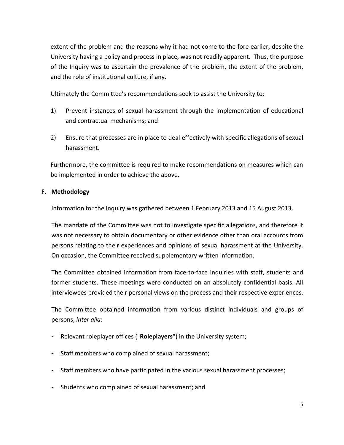extent of the problem and the reasons why it had not come to the fore earlier, despite the University having a policy and process in place, was not readily apparent. Thus, the purpose of the Inquiry was to ascertain the prevalence of the problem, the extent of the problem, and the role of institutional culture, if any.

Ultimately the Committee's recommendations seek to assist the University to:

- 1) Prevent instances of sexual harassment through the implementation of educational and contractual mechanisms; and
- 2) Ensure that processes are in place to deal effectively with specific allegations of sexual harassment.

Furthermore, the committee is required to make recommendations on measures which can be implemented in order to achieve the above.

#### **F. Methodology**

Information for the Inquiry was gathered between 1 February 2013 and 15 August 2013.

The mandate of the Committee was not to investigate specific allegations, and therefore it was not necessary to obtain documentary or other evidence other than oral accounts from persons relating to their experiences and opinions of sexual harassment at the University. On occasion, the Committee received supplementary written information.

The Committee obtained information from face-to-face inquiries with staff, students and former students. These meetings were conducted on an absolutely confidential basis. All interviewees provided their personal views on the process and their respective experiences.

The Committee obtained information from various distinct individuals and groups of persons, *inter alia*:

- Relevant roleplayer offices ("**Roleplayers**") in the University system;
- Staff members who complained of sexual harassment;
- Staff members who have participated in the various sexual harassment processes;
- Students who complained of sexual harassment; and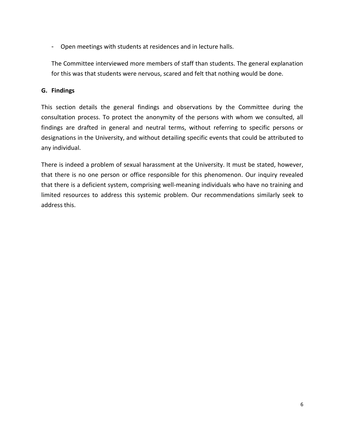- Open meetings with students at residences and in lecture halls.

The Committee interviewed more members of staff than students. The general explanation for this was that students were nervous, scared and felt that nothing would be done.

#### **G. Findings**

This section details the general findings and observations by the Committee during the consultation process. To protect the anonymity of the persons with whom we consulted, all findings are drafted in general and neutral terms, without referring to specific persons or designations in the University, and without detailing specific events that could be attributed to any individual.

There is indeed a problem of sexual harassment at the University. It must be stated, however, that there is no one person or office responsible for this phenomenon. Our inquiry revealed that there is a deficient system, comprising well-meaning individuals who have no training and limited resources to address this systemic problem. Our recommendations similarly seek to address this.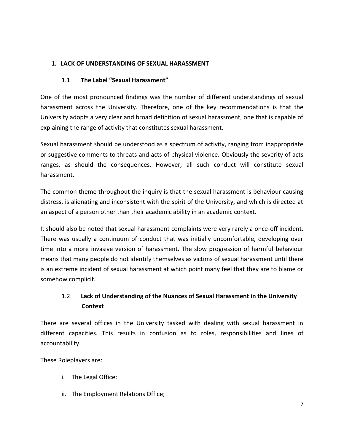## **1. LACK OF UNDERSTANDING OF SEXUAL HARASSMENT**

### 1.1. **The Label "Sexual Harassment"**

One of the most pronounced findings was the number of different understandings of sexual harassment across the University. Therefore, one of the key recommendations is that the University adopts a very clear and broad definition of sexual harassment, one that is capable of explaining the range of activity that constitutes sexual harassment.

Sexual harassment should be understood as a spectrum of activity, ranging from inappropriate or suggestive comments to threats and acts of physical violence. Obviously the severity of acts ranges, as should the consequences. However, all such conduct will constitute sexual harassment.

The common theme throughout the inquiry is that the sexual harassment is behaviour causing distress, is alienating and inconsistent with the spirit of the University, and which is directed at an aspect of a person other than their academic ability in an academic context.

It should also be noted that sexual harassment complaints were very rarely a once-off incident. There was usually a continuum of conduct that was initially uncomfortable, developing over time into a more invasive version of harassment. The slow progression of harmful behaviour means that many people do not identify themselves as victims of sexual harassment until there is an extreme incident of sexual harassment at which point many feel that they are to blame or somehow complicit.

# 1.2. **Lack of Understanding of the Nuances of Sexual Harassment in the University Context**

There are several offices in the University tasked with dealing with sexual harassment in different capacities. This results in confusion as to roles, responsibilities and lines of accountability.

These Roleplayers are:

- i. The Legal Office;
- ii. The Employment Relations Office;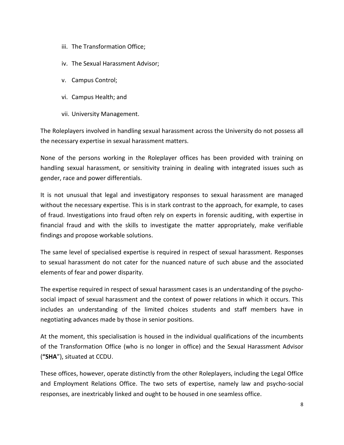- iii. The Transformation Office;
- iv. The Sexual Harassment Advisor;
- v. Campus Control;
- vi. Campus Health; and
- vii. University Management.

The Roleplayers involved in handling sexual harassment across the University do not possess all the necessary expertise in sexual harassment matters.

None of the persons working in the Roleplayer offices has been provided with training on handling sexual harassment, or sensitivity training in dealing with integrated issues such as gender, race and power differentials.

It is not unusual that legal and investigatory responses to sexual harassment are managed without the necessary expertise. This is in stark contrast to the approach, for example, to cases of fraud. Investigations into fraud often rely on experts in forensic auditing, with expertise in financial fraud and with the skills to investigate the matter appropriately, make verifiable findings and propose workable solutions.

The same level of specialised expertise is required in respect of sexual harassment. Responses to sexual harassment do not cater for the nuanced nature of such abuse and the associated elements of fear and power disparity.

The expertise required in respect of sexual harassment cases is an understanding of the psychosocial impact of sexual harassment and the context of power relations in which it occurs. This includes an understanding of the limited choices students and staff members have in negotiating advances made by those in senior positions.

At the moment, this specialisation is housed in the individual qualifications of the incumbents of the Transformation Office (who is no longer in office) and the Sexual Harassment Advisor (**"SHA**"), situated at CCDU.

These offices, however, operate distinctly from the other Roleplayers, including the Legal Office and Employment Relations Office. The two sets of expertise, namely law and psycho-social responses, are inextricably linked and ought to be housed in one seamless office.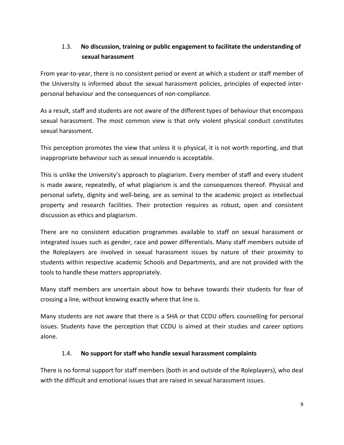# 1.3. **No discussion, training or public engagement to facilitate the understanding of sexual harassment**

From year-to-year, there is no consistent period or event at which a student or staff member of the University is informed about the sexual harassment policies, principles of expected interpersonal behaviour and the consequences of non-compliance.

As a result, staff and students are not aware of the different types of behaviour that encompass sexual harassment. The most common view is that only violent physical conduct constitutes sexual harassment.

This perception promotes the view that unless it is physical, it is not worth reporting, and that inappropriate behaviour such as sexual innuendo is acceptable.

This is unlike the University's approach to plagiarism. Every member of staff and every student is made aware, repeatedly, of what plagiarism is and the consequences thereof. Physical and personal safety, dignity and well-being, are as seminal to the academic project as intellectual property and research facilities. Their protection requires as robust, open and consistent discussion as ethics and plagiarism.

There are no consistent education programmes available to staff on sexual harassment or integrated issues such as gender, race and power differentials. Many staff members outside of the Roleplayers are involved in sexual harassment issues by nature of their proximity to students within respective academic Schools and Departments, and are not provided with the tools to handle these matters appropriately.

Many staff members are uncertain about how to behave towards their students for fear of crossing a line, without knowing exactly where that line is.

Many students are not aware that there is a SHA or that CCDU offers counselling for personal issues. Students have the perception that CCDU is aimed at their studies and career options alone.

#### 1.4. **No support for staff who handle sexual harassment complaints**

There is no formal support for staff members (both in and outside of the Roleplayers), who deal with the difficult and emotional issues that are raised in sexual harassment issues.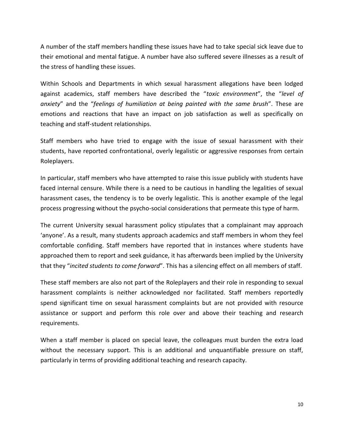A number of the staff members handling these issues have had to take special sick leave due to their emotional and mental fatigue. A number have also suffered severe illnesses as a result of the stress of handling these issues.

Within Schools and Departments in which sexual harassment allegations have been lodged against academics, staff members have described the "*toxic environment*", the "*level of anxiety*" and the "*feelings of humiliation at being painted with the same brush*". These are emotions and reactions that have an impact on job satisfaction as well as specifically on teaching and staff-student relationships.

Staff members who have tried to engage with the issue of sexual harassment with their students, have reported confrontational, overly legalistic or aggressive responses from certain Roleplayers.

In particular, staff members who have attempted to raise this issue publicly with students have faced internal censure. While there is a need to be cautious in handling the legalities of sexual harassment cases, the tendency is to be overly legalistic. This is another example of the legal process progressing without the psycho-social considerations that permeate this type of harm.

The current University sexual harassment policy stipulates that a complainant may approach 'anyone'. As a result, many students approach academics and staff members in whom they feel comfortable confiding. Staff members have reported that in instances where students have approached them to report and seek guidance, it has afterwards been implied by the University that they "*incited students to come forward*". This has a silencing effect on all members of staff.

These staff members are also not part of the Roleplayers and their role in responding to sexual harassment complaints is neither acknowledged nor facilitated. Staff members reportedly spend significant time on sexual harassment complaints but are not provided with resource assistance or support and perform this role over and above their teaching and research requirements.

When a staff member is placed on special leave, the colleagues must burden the extra load without the necessary support. This is an additional and unquantifiable pressure on staff, particularly in terms of providing additional teaching and research capacity.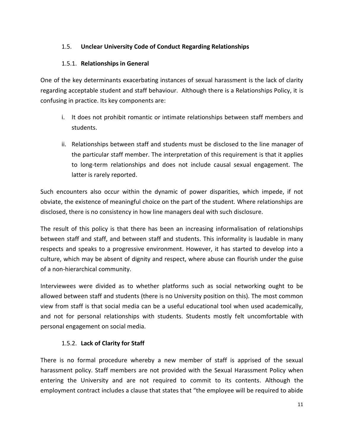## 1.5. **Unclear University Code of Conduct Regarding Relationships**

### 1.5.1. **Relationships in General**

One of the key determinants exacerbating instances of sexual harassment is the lack of clarity regarding acceptable student and staff behaviour. Although there is a Relationships Policy, it is confusing in practice. Its key components are:

- i. It does not prohibit romantic or intimate relationships between staff members and students.
- ii. Relationships between staff and students must be disclosed to the line manager of the particular staff member. The interpretation of this requirement is that it applies to long-term relationships and does not include causal sexual engagement. The latter is rarely reported.

Such encounters also occur within the dynamic of power disparities, which impede, if not obviate, the existence of meaningful choice on the part of the student. Where relationships are disclosed, there is no consistency in how line managers deal with such disclosure.

The result of this policy is that there has been an increasing informalisation of relationships between staff and staff, and between staff and students. This informality is laudable in many respects and speaks to a progressive environment. However, it has started to develop into a culture, which may be absent of dignity and respect, where abuse can flourish under the guise of a non-hierarchical community.

Interviewees were divided as to whether platforms such as social networking ought to be allowed between staff and students (there is no University position on this). The most common view from staff is that social media can be a useful educational tool when used academically, and not for personal relationships with students. Students mostly felt uncomfortable with personal engagement on social media.

#### 1.5.2. **Lack of Clarity for Staff**

There is no formal procedure whereby a new member of staff is apprised of the sexual harassment policy. Staff members are not provided with the Sexual Harassment Policy when entering the University and are not required to commit to its contents. Although the employment contract includes a clause that states that "the employee will be required to abide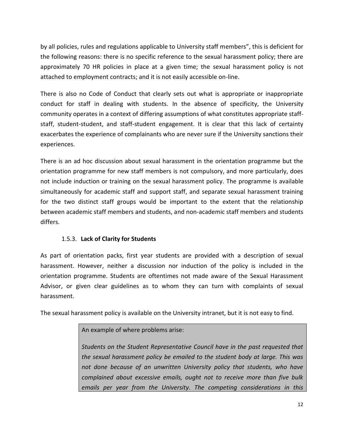by all policies, rules and regulations applicable to University staff members", this is deficient for the following reasons: there is no specific reference to the sexual harassment policy; there are approximately 70 HR policies in place at a given time; the sexual harassment policy is not attached to employment contracts; and it is not easily accessible on-line.

There is also no Code of Conduct that clearly sets out what is appropriate or inappropriate conduct for staff in dealing with students. In the absence of specificity, the University community operates in a context of differing assumptions of what constitutes appropriate staffstaff, student-student, and staff-student engagement. It is clear that this lack of certainty exacerbates the experience of complainants who are never sure if the University sanctions their experiences.

There is an ad hoc discussion about sexual harassment in the orientation programme but the orientation programme for new staff members is not compulsory, and more particularly, does not include induction or training on the sexual harassment policy. The programme is available simultaneously for academic staff and support staff, and separate sexual harassment training for the two distinct staff groups would be important to the extent that the relationship between academic staff members and students, and non-academic staff members and students differs.

#### 1.5.3. **Lack of Clarity for Students**

As part of orientation packs, first year students are provided with a description of sexual harassment. However, neither a discussion nor induction of the policy is included in the orientation programme. Students are oftentimes not made aware of the Sexual Harassment Advisor, or given clear guidelines as to whom they can turn with complaints of sexual harassment.

The sexual harassment policy is available on the University intranet, but it is not easy to find.

#### An example of where problems arise:

*Students on the Student Representative Council have in the past requested that the sexual harassment policy be emailed to the student body at large. This was not done because of an unwritten University policy that students, who have complained about excessive emails, ought not to receive more than five bulk emails per year from the University. The competing considerations in this*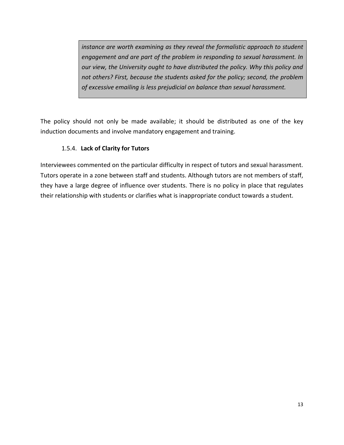*instance are worth examining as they reveal the formalistic approach to student engagement and are part of the problem in responding to sexual harassment. In our view, the University ought to have distributed the policy. Why this policy and not others? First, because the students asked for the policy; second, the problem of excessive emailing is less prejudicial on balance than sexual harassment.*

The policy should not only be made available; it should be distributed as one of the key induction documents and involve mandatory engagement and training.

## 1.5.4. **Lack of Clarity for Tutors**

Interviewees commented on the particular difficulty in respect of tutors and sexual harassment. Tutors operate in a zone between staff and students. Although tutors are not members of staff, they have a large degree of influence over students. There is no policy in place that regulates their relationship with students or clarifies what is inappropriate conduct towards a student.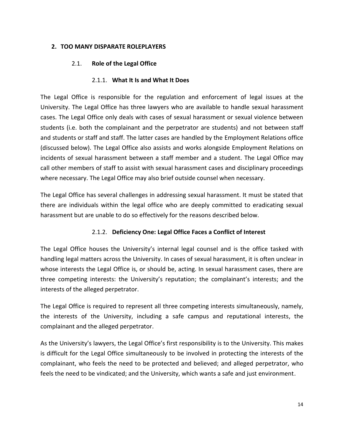#### **2. TOO MANY DISPARATE ROLEPLAYERS**

### 2.1. **Role of the Legal Office**

#### 2.1.1. **What It Is and What It Does**

The Legal Office is responsible for the regulation and enforcement of legal issues at the University. The Legal Office has three lawyers who are available to handle sexual harassment cases. The Legal Office only deals with cases of sexual harassment or sexual violence between students (i.e. both the complainant and the perpetrator are students) and not between staff and students or staff and staff. The latter cases are handled by the Employment Relations office (discussed below). The Legal Office also assists and works alongside Employment Relations on incidents of sexual harassment between a staff member and a student. The Legal Office may call other members of staff to assist with sexual harassment cases and disciplinary proceedings where necessary. The Legal Office may also brief outside counsel when necessary.

The Legal Office has several challenges in addressing sexual harassment. It must be stated that there are individuals within the legal office who are deeply committed to eradicating sexual harassment but are unable to do so effectively for the reasons described below.

#### 2.1.2. **Deficiency One: Legal Office Faces a Conflict of Interest**

The Legal Office houses the University's internal legal counsel and is the office tasked with handling legal matters across the University. In cases of sexual harassment, it is often unclear in whose interests the Legal Office is, or should be, acting. In sexual harassment cases, there are three competing interests: the University's reputation; the complainant's interests; and the interests of the alleged perpetrator.

The Legal Office is required to represent all three competing interests simultaneously, namely, the interests of the University, including a safe campus and reputational interests, the complainant and the alleged perpetrator.

As the University's lawyers, the Legal Office's first responsibility is to the University. This makes is difficult for the Legal Office simultaneously to be involved in protecting the interests of the complainant, who feels the need to be protected and believed; and alleged perpetrator, who feels the need to be vindicated; and the University, which wants a safe and just environment.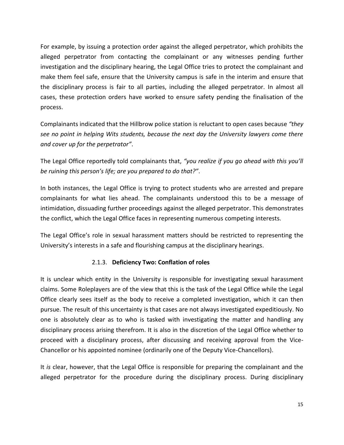For example, by issuing a protection order against the alleged perpetrator, which prohibits the alleged perpetrator from contacting the complainant or any witnesses pending further investigation and the disciplinary hearing, the Legal Office tries to protect the complainant and make them feel safe, ensure that the University campus is safe in the interim and ensure that the disciplinary process is fair to all parties, including the alleged perpetrator. In almost all cases, these protection orders have worked to ensure safety pending the finalisation of the process.

Complainants indicated that the Hillbrow police station is reluctant to open cases because *"they see no point in helping Wits students, because the next day the University lawyers come there and cover up for the perpetrator"*.

The Legal Office reportedly told complainants that, *"you realize if you go ahead with this you'll be ruining this person's life; are you prepared to do that?"*.

In both instances, the Legal Office is trying to protect students who are arrested and prepare complainants for what lies ahead. The complainants understood this to be a message of intimidation, dissuading further proceedings against the alleged perpetrator. This demonstrates the conflict, which the Legal Office faces in representing numerous competing interests.

The Legal Office's role in sexual harassment matters should be restricted to representing the University's interests in a safe and flourishing campus at the disciplinary hearings.

#### 2.1.3. **Deficiency Two: Conflation of roles**

It is unclear which entity in the University is responsible for investigating sexual harassment claims. Some Roleplayers are of the view that this is the task of the Legal Office while the Legal Office clearly sees itself as the body to receive a completed investigation, which it can then pursue. The result of this uncertainty is that cases are not always investigated expeditiously. No one is absolutely clear as to who is tasked with investigating the matter and handling any disciplinary process arising therefrom. It is also in the discretion of the Legal Office whether to proceed with a disciplinary process, after discussing and receiving approval from the Vice-Chancellor or his appointed nominee (ordinarily one of the Deputy Vice-Chancellors).

It *is* clear, however, that the Legal Office is responsible for preparing the complainant and the alleged perpetrator for the procedure during the disciplinary process. During disciplinary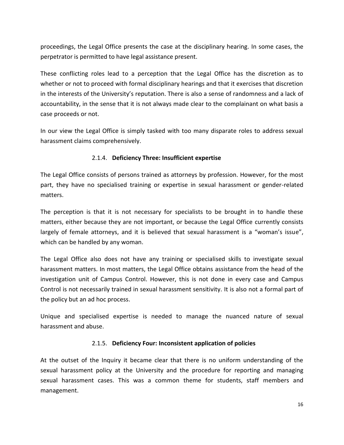proceedings, the Legal Office presents the case at the disciplinary hearing. In some cases, the perpetrator is permitted to have legal assistance present.

These conflicting roles lead to a perception that the Legal Office has the discretion as to whether or not to proceed with formal disciplinary hearings and that it exercises that discretion in the interests of the University's reputation. There is also a sense of randomness and a lack of accountability, in the sense that it is not always made clear to the complainant on what basis a case proceeds or not.

In our view the Legal Office is simply tasked with too many disparate roles to address sexual harassment claims comprehensively.

#### 2.1.4. **Deficiency Three: Insufficient expertise**

The Legal Office consists of persons trained as attorneys by profession. However, for the most part, they have no specialised training or expertise in sexual harassment or gender-related matters.

The perception is that it is not necessary for specialists to be brought in to handle these matters, either because they are not important, or because the Legal Office currently consists largely of female attorneys, and it is believed that sexual harassment is a "woman's issue", which can be handled by any woman.

The Legal Office also does not have any training or specialised skills to investigate sexual harassment matters. In most matters, the Legal Office obtains assistance from the head of the investigation unit of Campus Control. However, this is not done in every case and Campus Control is not necessarily trained in sexual harassment sensitivity. It is also not a formal part of the policy but an ad hoc process.

Unique and specialised expertise is needed to manage the nuanced nature of sexual harassment and abuse.

#### 2.1.5. **Deficiency Four: Inconsistent application of policies**

At the outset of the Inquiry it became clear that there is no uniform understanding of the sexual harassment policy at the University and the procedure for reporting and managing sexual harassment cases. This was a common theme for students, staff members and management.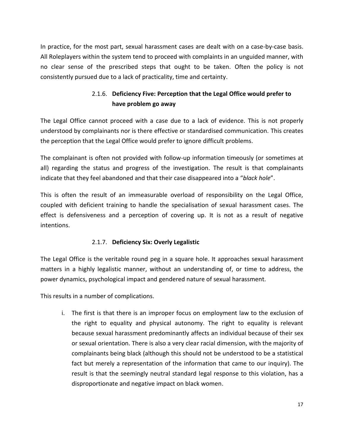In practice, for the most part, sexual harassment cases are dealt with on a case-by-case basis. All Roleplayers within the system tend to proceed with complaints in an unguided manner, with no clear sense of the prescribed steps that ought to be taken. Often the policy is not consistently pursued due to a lack of practicality, time and certainty.

# 2.1.6. **Deficiency Five: Perception that the Legal Office would prefer to have problem go away**

The Legal Office cannot proceed with a case due to a lack of evidence. This is not properly understood by complainants nor is there effective or standardised communication. This creates the perception that the Legal Office would prefer to ignore difficult problems.

The complainant is often not provided with follow-up information timeously (or sometimes at all) regarding the status and progress of the investigation. The result is that complainants indicate that they feel abandoned and that their case disappeared into a "*black hole*".

This is often the result of an immeasurable overload of responsibility on the Legal Office, coupled with deficient training to handle the specialisation of sexual harassment cases. The effect is defensiveness and a perception of covering up. It is not as a result of negative intentions.

## 2.1.7. **Deficiency Six: Overly Legalistic**

The Legal Office is the veritable round peg in a square hole. It approaches sexual harassment matters in a highly legalistic manner, without an understanding of, or time to address, the power dynamics, psychological impact and gendered nature of sexual harassment.

This results in a number of complications.

i. The first is that there is an improper focus on employment law to the exclusion of the right to equality and physical autonomy. The right to equality is relevant because sexual harassment predominantly affects an individual because of their sex or sexual orientation. There is also a very clear racial dimension, with the majority of complainants being black (although this should not be understood to be a statistical fact but merely a representation of the information that came to our inquiry). The result is that the seemingly neutral standard legal response to this violation, has a disproportionate and negative impact on black women.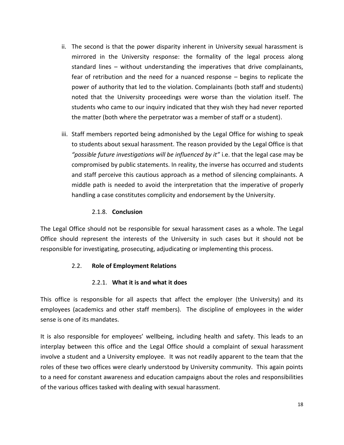- ii. The second is that the power disparity inherent in University sexual harassment is mirrored in the University response: the formality of the legal process along standard lines – without understanding the imperatives that drive complainants, fear of retribution and the need for a nuanced response – begins to replicate the power of authority that led to the violation. Complainants (both staff and students) noted that the University proceedings were worse than the violation itself. The students who came to our inquiry indicated that they wish they had never reported the matter (both where the perpetrator was a member of staff or a student).
- iii. Staff members reported being admonished by the Legal Office for wishing to speak to students about sexual harassment. The reason provided by the Legal Office is that *"possible future investigations will be influenced by it"* i.e. that the legal case may be compromised by public statements. In reality, the inverse has occurred and students and staff perceive this cautious approach as a method of silencing complainants. A middle path is needed to avoid the interpretation that the imperative of properly handling a case constitutes complicity and endorsement by the University.

#### 2.1.8. **Conclusion**

The Legal Office should not be responsible for sexual harassment cases as a whole. The Legal Office should represent the interests of the University in such cases but it should not be responsible for investigating, prosecuting, adjudicating or implementing this process.

#### 2.2. **Role of Employment Relations**

#### 2.2.1. **What it is and what it does**

This office is responsible for all aspects that affect the employer (the University) and its employees (academics and other staff members). The discipline of employees in the wider sense is one of its mandates.

It is also responsible for employees' wellbeing, including health and safety. This leads to an interplay between this office and the Legal Office should a complaint of sexual harassment involve a student and a University employee. It was not readily apparent to the team that the roles of these two offices were clearly understood by University community. This again points to a need for constant awareness and education campaigns about the roles and responsibilities of the various offices tasked with dealing with sexual harassment.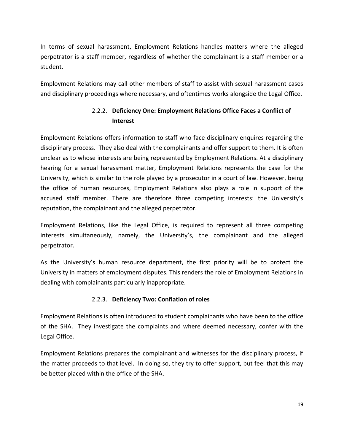In terms of sexual harassment, Employment Relations handles matters where the alleged perpetrator is a staff member, regardless of whether the complainant is a staff member or a student.

Employment Relations may call other members of staff to assist with sexual harassment cases and disciplinary proceedings where necessary, and oftentimes works alongside the Legal Office.

# 2.2.2. **Deficiency One: Employment Relations Office Faces a Conflict of Interest**

Employment Relations offers information to staff who face disciplinary enquires regarding the disciplinary process. They also deal with the complainants and offer support to them. It is often unclear as to whose interests are being represented by Employment Relations. At a disciplinary hearing for a sexual harassment matter, Employment Relations represents the case for the University, which is similar to the role played by a prosecutor in a court of law. However, being the office of human resources, Employment Relations also plays a role in support of the accused staff member. There are therefore three competing interests: the University's reputation, the complainant and the alleged perpetrator.

Employment Relations, like the Legal Office, is required to represent all three competing interests simultaneously, namely, the University's, the complainant and the alleged perpetrator.

As the University's human resource department, the first priority will be to protect the University in matters of employment disputes. This renders the role of Employment Relations in dealing with complainants particularly inappropriate.

#### 2.2.3. **Deficiency Two: Conflation of roles**

Employment Relations is often introduced to student complainants who have been to the office of the SHA. They investigate the complaints and where deemed necessary, confer with the Legal Office.

Employment Relations prepares the complainant and witnesses for the disciplinary process, if the matter proceeds to that level. In doing so, they try to offer support, but feel that this may be better placed within the office of the SHA.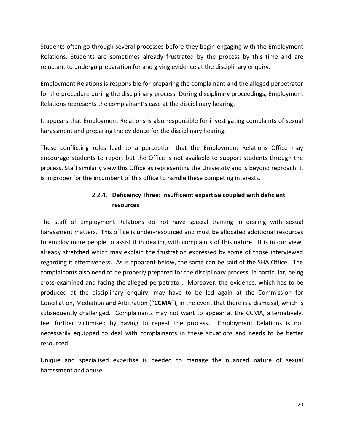Students often go through several processes before they begin engaging with the Employment Relations. Students are sometimes already frustrated by the process by this time and are reluctant to undergo preparation for and giving evidence at the disciplinary enquiry.

Employment Relations is responsible for preparing the complainant and the alleged perpetrator for the procedure during the disciplinary process. During disciplinary proceedings, Employment Relations represents the complainant's case at the disciplinary hearing.

It appears that Employment Relations is also responsible for investigating complaints of sexual harassment and preparing the evidence for the disciplinary hearing.

These conflicting roles lead to a perception that the Employment Relations Office may encourage students to report but the Office is not available to support students through the process. Staff similarly view this Office as representing the University and is beyond reproach. It is improper for the incumbent of this office to handle these competing interests.

# 2.2.4. **Deficiency Three: Insufficient expertise coupled with deficient resources**

The staff of Employment Relations do not have special training in dealing with sexual harassment matters. This office is under-resourced and must be allocated additional resources to employ more people to assist it in dealing with complaints of this nature. It is in our view, already stretched which may explain the frustration expressed by some of those interviewed regarding it effectiveness. As is apparent below, the same can be said of the SHA Office. The complainants also need to be properly prepared for the disciplinary process, in particular, being cross-examined and facing the alleged perpetrator. Moreover, the evidence, which has to be produced at the disciplinary enquiry, may have to be led again at the Commission for Conciliation, Mediation and Arbitration ("**CCMA**"), in the event that there is a dismissal, which is subsequently challenged. Complainants may not want to appear at the CCMA, alternatively, feel further victimised by having to repeat the process. Employment Relations is not necessarily equipped to deal with complainants in these situations and needs to be better resourced.

Unique and specialised expertise is needed to manage the nuanced nature of sexual harassment and abuse.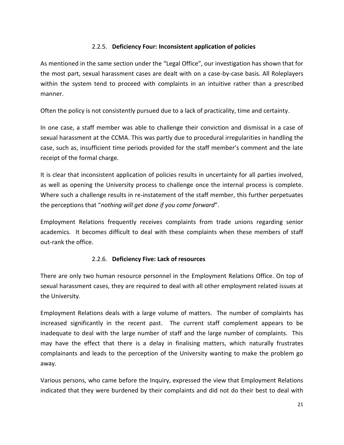### 2.2.5. **Deficiency Four: Inconsistent application of policies**

As mentioned in the same section under the "Legal Office", our investigation has shown that for the most part, sexual harassment cases are dealt with on a case-by-case basis. All Roleplayers within the system tend to proceed with complaints in an intuitive rather than a prescribed manner.

Often the policy is not consistently pursued due to a lack of practicality, time and certainty.

In one case, a staff member was able to challenge their conviction and dismissal in a case of sexual harassment at the CCMA. This was partly due to procedural irregularities in handling the case, such as, insufficient time periods provided for the staff member's comment and the late receipt of the formal charge.

It is clear that inconsistent application of policies results in uncertainty for all parties involved, as well as opening the University process to challenge once the internal process is complete. Where such a challenge results in re-instatement of the staff member, this further perpetuates the perceptions that "*nothing will get done if you come forward*".

Employment Relations frequently receives complaints from trade unions regarding senior academics. It becomes difficult to deal with these complaints when these members of staff out-rank the office.

#### 2.2.6. **Deficiency Five: Lack of resources**

There are only two human resource personnel in the Employment Relations Office. On top of sexual harassment cases, they are required to deal with all other employment related issues at the University.

Employment Relations deals with a large volume of matters. The number of complaints has increased significantly in the recent past. The current staff complement appears to be inadequate to deal with the large number of staff and the large number of complaints. This may have the effect that there is a delay in finalising matters, which naturally frustrates complainants and leads to the perception of the University wanting to make the problem go away.

Various persons, who came before the Inquiry, expressed the view that Employment Relations indicated that they were burdened by their complaints and did not do their best to deal with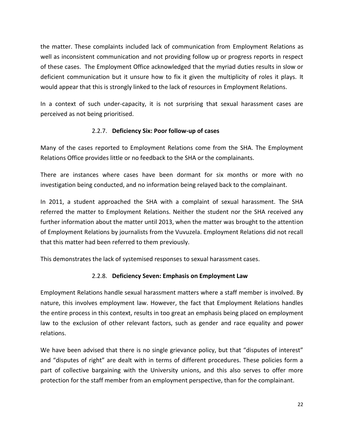the matter. These complaints included lack of communication from Employment Relations as well as inconsistent communication and not providing follow up or progress reports in respect of these cases. The Employment Office acknowledged that the myriad duties results in slow or deficient communication but it unsure how to fix it given the multiplicity of roles it plays. It would appear that this is strongly linked to the lack of resources in Employment Relations.

In a context of such under-capacity, it is not surprising that sexual harassment cases are perceived as not being prioritised.

#### 2.2.7. **Deficiency Six: Poor follow-up of cases**

Many of the cases reported to Employment Relations come from the SHA. The Employment Relations Office provides little or no feedback to the SHA or the complainants.

There are instances where cases have been dormant for six months or more with no investigation being conducted, and no information being relayed back to the complainant.

In 2011, a student approached the SHA with a complaint of sexual harassment. The SHA referred the matter to Employment Relations. Neither the student nor the SHA received any further information about the matter until 2013, when the matter was brought to the attention of Employment Relations by journalists from the Vuvuzela. Employment Relations did not recall that this matter had been referred to them previously.

This demonstrates the lack of systemised responses to sexual harassment cases.

#### 2.2.8. **Deficiency Seven: Emphasis on Employment Law**

Employment Relations handle sexual harassment matters where a staff member is involved. By nature, this involves employment law. However, the fact that Employment Relations handles the entire process in this context, results in too great an emphasis being placed on employment law to the exclusion of other relevant factors, such as gender and race equality and power relations.

We have been advised that there is no single grievance policy, but that "disputes of interest" and "disputes of right" are dealt with in terms of different procedures. These policies form a part of collective bargaining with the University unions, and this also serves to offer more protection for the staff member from an employment perspective, than for the complainant.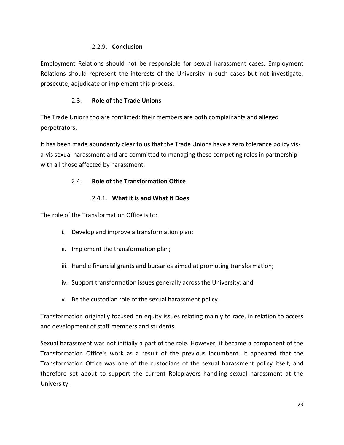#### 2.2.9. **Conclusion**

Employment Relations should not be responsible for sexual harassment cases. Employment Relations should represent the interests of the University in such cases but not investigate, prosecute, adjudicate or implement this process.

### 2.3. **Role of the Trade Unions**

The Trade Unions too are conflicted: their members are both complainants and alleged perpetrators.

It has been made abundantly clear to us that the Trade Unions have a zero tolerance policy visà-vis sexual harassment and are committed to managing these competing roles in partnership with all those affected by harassment.

## 2.4. **Role of the Transformation Office**

## 2.4.1. **What it is and What It Does**

The role of the Transformation Office is to:

- i. Develop and improve a transformation plan;
- ii. Implement the transformation plan;
- iii. Handle financial grants and bursaries aimed at promoting transformation;
- iv. Support transformation issues generally across the University; and
- v. Be the custodian role of the sexual harassment policy.

Transformation originally focused on equity issues relating mainly to race, in relation to access and development of staff members and students.

Sexual harassment was not initially a part of the role. However, it became a component of the Transformation Office's work as a result of the previous incumbent. It appeared that the Transformation Office was one of the custodians of the sexual harassment policy itself, and therefore set about to support the current Roleplayers handling sexual harassment at the University.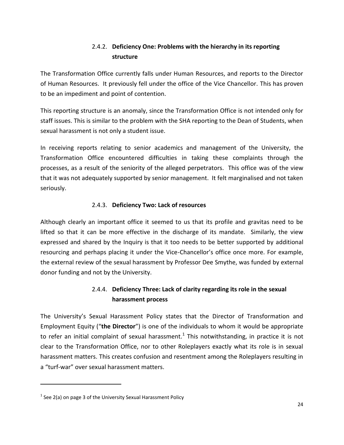# 2.4.2. **Deficiency One: Problems with the hierarchy in its reporting structure**

The Transformation Office currently falls under Human Resources, and reports to the Director of Human Resources. It previously fell under the office of the Vice Chancellor. This has proven to be an impediment and point of contention.

This reporting structure is an anomaly, since the Transformation Office is not intended only for staff issues. This is similar to the problem with the SHA reporting to the Dean of Students, when sexual harassment is not only a student issue.

In receiving reports relating to senior academics and management of the University, the Transformation Office encountered difficulties in taking these complaints through the processes, as a result of the seniority of the alleged perpetrators. This office was of the view that it was not adequately supported by senior management. It felt marginalised and not taken seriously.

## 2.4.3. **Deficiency Two: Lack of resources**

Although clearly an important office it seemed to us that its profile and gravitas need to be lifted so that it can be more effective in the discharge of its mandate. Similarly, the view expressed and shared by the Inquiry is that it too needs to be better supported by additional resourcing and perhaps placing it under the Vice-Chancellor's office once more. For example, the external review of the sexual harassment by Professor Dee Smythe, was funded by external donor funding and not by the University.

# 2.4.4. **Deficiency Three: Lack of clarity regarding its role in the sexual harassment process**

The University's Sexual Harassment Policy states that the Director of Transformation and Employment Equity ("**the Director**") is one of the individuals to whom it would be appropriate to refer an initial complaint of sexual harassment.<sup>1</sup> This notwithstanding, in practice it is not clear to the Transformation Office, nor to other Roleplayers exactly what its role is in sexual harassment matters. This creates confusion and resentment among the Roleplayers resulting in a "turf-war" over sexual harassment matters.

 $\overline{a}$ 

 $<sup>1</sup>$  See 2(a) on page 3 of the University Sexual Harassment Policy</sup>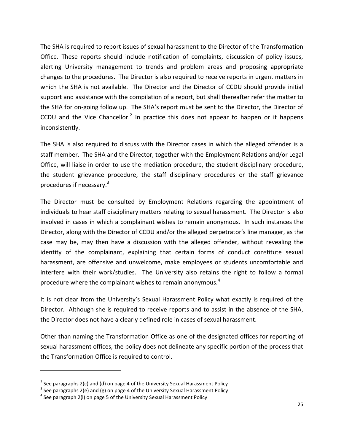The SHA is required to report issues of sexual harassment to the Director of the Transformation Office. These reports should include notification of complaints, discussion of policy issues, alerting University management to trends and problem areas and proposing appropriate changes to the procedures. The Director is also required to receive reports in urgent matters in which the SHA is not available. The Director and the Director of CCDU should provide initial support and assistance with the compilation of a report, but shall thereafter refer the matter to the SHA for on-going follow up. The SHA's report must be sent to the Director, the Director of CCDU and the Vice Chancellor.<sup>2</sup> In practice this does not appear to happen or it happens inconsistently.

The SHA is also required to discuss with the Director cases in which the alleged offender is a staff member. The SHA and the Director, together with the Employment Relations and/or Legal Office, will liaise in order to use the mediation procedure, the student disciplinary procedure, the student grievance procedure, the staff disciplinary procedures or the staff grievance procedures if necessary.<sup>3</sup>

The Director must be consulted by Employment Relations regarding the appointment of individuals to hear staff disciplinary matters relating to sexual harassment. The Director is also involved in cases in which a complainant wishes to remain anonymous. In such instances the Director, along with the Director of CCDU and/or the alleged perpetrator's line manager, as the case may be, may then have a discussion with the alleged offender, without revealing the identity of the complainant, explaining that certain forms of conduct constitute sexual harassment, are offensive and unwelcome, make employees or students uncomfortable and interfere with their work/studies. The University also retains the right to follow a formal procedure where the complainant wishes to remain anonymous.<sup>4</sup>

It is not clear from the University's Sexual Harassment Policy what exactly is required of the Director. Although she is required to receive reports and to assist in the absence of the SHA, the Director does not have a clearly defined role in cases of sexual harassment.

Other than naming the Transformation Office as one of the designated offices for reporting of sexual harassment offices, the policy does not delineate any specific portion of the process that the Transformation Office is required to control.

 $\overline{\phantom{a}}$ 

<sup>&</sup>lt;sup>2</sup> See paragraphs 2(c) and (d) on page 4 of the University Sexual Harassment Policy

<sup>&</sup>lt;sup>3</sup> See paragraphs 2(e) and (g) on page 4 of the University Sexual Harassment Policy

<sup>&</sup>lt;sup>4</sup> See paragraph 2(I) on page 5 of the University Sexual Harassment Policy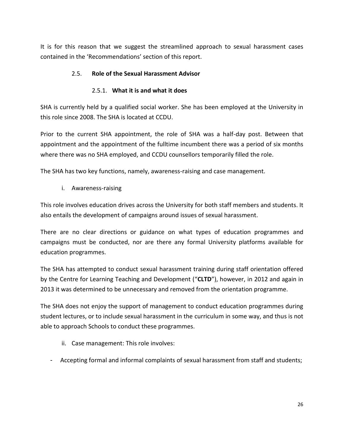It is for this reason that we suggest the streamlined approach to sexual harassment cases contained in the 'Recommendations' section of this report.

## 2.5. **Role of the Sexual Harassment Advisor**

#### 2.5.1. **What it is and what it does**

SHA is currently held by a qualified social worker. She has been employed at the University in this role since 2008. The SHA is located at CCDU.

Prior to the current SHA appointment, the role of SHA was a half-day post. Between that appointment and the appointment of the fulltime incumbent there was a period of six months where there was no SHA employed, and CCDU counsellors temporarily filled the role.

The SHA has two key functions, namely, awareness-raising and case management.

i. Awareness-raising

This role involves education drives across the University for both staff members and students. It also entails the development of campaigns around issues of sexual harassment.

There are no clear directions or guidance on what types of education programmes and campaigns must be conducted, nor are there any formal University platforms available for education programmes.

The SHA has attempted to conduct sexual harassment training during staff orientation offered by the Centre for Learning Teaching and Development ("**CLTD**"), however, in 2012 and again in 2013 it was determined to be unnecessary and removed from the orientation programme.

The SHA does not enjoy the support of management to conduct education programmes during student lectures, or to include sexual harassment in the curriculum in some way, and thus is not able to approach Schools to conduct these programmes.

- ii. Case management: This role involves:
- Accepting formal and informal complaints of sexual harassment from staff and students;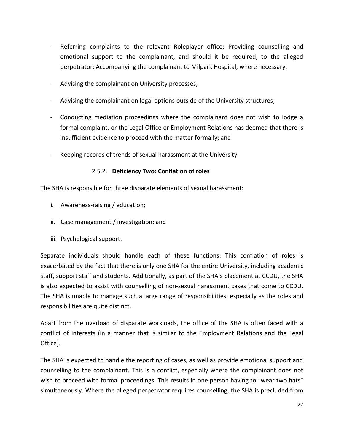- Referring complaints to the relevant Roleplayer office; Providing counselling and emotional support to the complainant, and should it be required, to the alleged perpetrator; Accompanying the complainant to Milpark Hospital, where necessary;
- Advising the complainant on University processes;
- Advising the complainant on legal options outside of the University structures;
- Conducting mediation proceedings where the complainant does not wish to lodge a formal complaint, or the Legal Office or Employment Relations has deemed that there is insufficient evidence to proceed with the matter formally; and
- Keeping records of trends of sexual harassment at the University.

#### 2.5.2. **Deficiency Two: Conflation of roles**

The SHA is responsible for three disparate elements of sexual harassment:

- i. Awareness-raising / education;
- ii. Case management / investigation; and
- iii. Psychological support.

Separate individuals should handle each of these functions. This conflation of roles is exacerbated by the fact that there is only one SHA for the entire University, including academic staff, support staff and students. Additionally, as part of the SHA's placement at CCDU, the SHA is also expected to assist with counselling of non-sexual harassment cases that come to CCDU. The SHA is unable to manage such a large range of responsibilities, especially as the roles and responsibilities are quite distinct.

Apart from the overload of disparate workloads, the office of the SHA is often faced with a conflict of interests (in a manner that is similar to the Employment Relations and the Legal Office).

The SHA is expected to handle the reporting of cases, as well as provide emotional support and counselling to the complainant. This is a conflict, especially where the complainant does not wish to proceed with formal proceedings. This results in one person having to "wear two hats" simultaneously. Where the alleged perpetrator requires counselling, the SHA is precluded from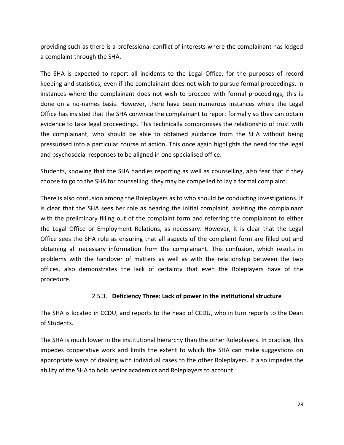providing such as there is a professional conflict of interests where the complainant has lodged a complaint through the SHA.

The SHA is expected to report all incidents to the Legal Office, for the purposes of record keeping and statistics, even if the complainant does not wish to pursue formal proceedings. In instances where the complainant does not wish to proceed with formal proceedings, this is done on a no-names basis. However, there have been numerous instances where the Legal Office has insisted that the SHA convince the complainant to report formally so they can obtain evidence to take legal proceedings. This technically compromises the relationship of trust with the complainant, who should be able to obtained guidance from the SHA without being pressurised into a particular course of action. This once again highlights the need for the legal and psychosocial responses to be aligned in one specialised office.

Students, knowing that the SHA handles reporting as well as counselling, also fear that if they choose to go to the SHA for counselling, they may be compelled to lay a formal complaint.

There is also confusion among the Roleplayers as to who should be conducting investigations. It is clear that the SHA sees her role as hearing the initial complaint, assisting the complainant with the preliminary filling out of the complaint form and referring the complainant to either the Legal Office or Employment Relations, as necessary. However, it is clear that the Legal Office sees the SHA role as ensuring that all aspects of the complaint form are filled out and obtaining all necessary information from the complainant. This confusion, which results in problems with the handover of matters as well as with the relationship between the two offices, also demonstrates the lack of certainty that even the Roleplayers have of the procedure.

#### 2.5.3. **Deficiency Three: Lack of power in the institutional structure**

The SHA is located in CCDU, and reports to the head of CCDU, who in turn reports to the Dean of Students.

The SHA is much lower in the institutional hierarchy than the other Roleplayers. In practice, this impedes cooperative work and limits the extent to which the SHA can make suggestions on appropriate ways of dealing with individual cases to the other Roleplayers. It also impedes the ability of the SHA to hold senior academics and Roleplayers to account.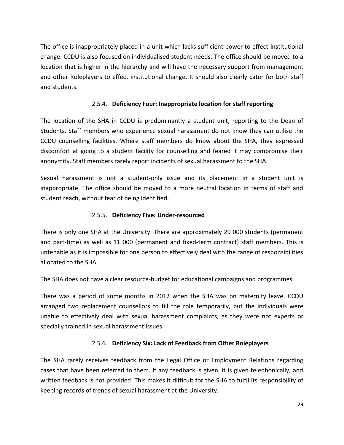The office is inappropriately placed in a unit which lacks sufficient power to effect institutional change. CCDU is also focused on individualised student needs. The office should be moved to a location that is higher in the hierarchy and will have the necessary support from management and other Roleplayers to effect institutional change. It should also clearly cater for both staff and students.

## 2.5.4. **Deficiency Four: Inappropriate location for staff reporting**

The location of the SHA in CCDU is predominantly a student unit, reporting to the Dean of Students. Staff members who experience sexual harassment do not know they can utilise the CCDU counselling facilities. Where staff members do know about the SHA, they expressed discomfort at going to a student facility for counselling and feared it may compromise their anonymity. Staff members rarely report incidents of sexual harassment to the SHA.

Sexual harassment is not a student-only issue and its placement in a student unit is inappropriate. The office should be moved to a more neutral location in terms of staff and student reach, without fear of being identified.

#### 2.5.5. **Deficiency Five: Under-resourced**

There is only one SHA at the University. There are approximately 29 000 students (permanent and part-time) as well as 11 000 (permanent and fixed-term contract) staff members. This is untenable as it is impossible for one person to effectively deal with the range of responsibilities allocated to the SHA.

The SHA does not have a clear resource-budget for educational campaigns and programmes.

There was a period of some months in 2012 when the SHA was on maternity leave. CCDU arranged two replacement counsellors to fill the role temporarily, but the individuals were unable to effectively deal with sexual harassment complaints, as they were not experts or specially trained in sexual harassment issues.

#### 2.5.6. **Deficiency Six: Lack of Feedback from Other Roleplayers**

The SHA rarely receives feedback from the Legal Office or Employment Relations regarding cases that have been referred to them. If any feedback is given, it is given telephonically, and written feedback is not provided. This makes it difficult for the SHA to fulfil its responsibility of keeping records of trends of sexual harassment at the University.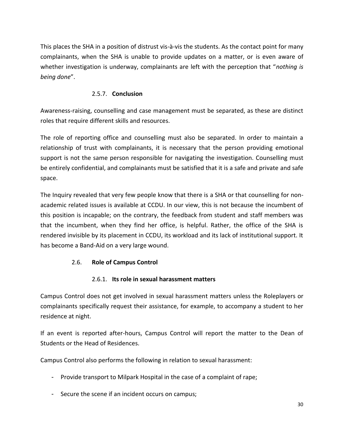This places the SHA in a position of distrust vis-à-vis the students. As the contact point for many complainants, when the SHA is unable to provide updates on a matter, or is even aware of whether investigation is underway, complainants are left with the perception that "*nothing is being done*".

### 2.5.7. **Conclusion**

Awareness-raising, counselling and case management must be separated, as these are distinct roles that require different skills and resources.

The role of reporting office and counselling must also be separated. In order to maintain a relationship of trust with complainants, it is necessary that the person providing emotional support is not the same person responsible for navigating the investigation. Counselling must be entirely confidential, and complainants must be satisfied that it is a safe and private and safe space.

The Inquiry revealed that very few people know that there is a SHA or that counselling for nonacademic related issues is available at CCDU. In our view, this is not because the incumbent of this position is incapable; on the contrary, the feedback from student and staff members was that the incumbent, when they find her office, is helpful. Rather, the office of the SHA is rendered invisible by its placement in CCDU, its workload and its lack of institutional support. It has become a Band-Aid on a very large wound.

## 2.6. **Role of Campus Control**

#### 2.6.1. **Its role in sexual harassment matters**

Campus Control does not get involved in sexual harassment matters unless the Roleplayers or complainants specifically request their assistance, for example, to accompany a student to her residence at night.

If an event is reported after-hours, Campus Control will report the matter to the Dean of Students or the Head of Residences.

Campus Control also performs the following in relation to sexual harassment:

- Provide transport to Milpark Hospital in the case of a complaint of rape;
- Secure the scene if an incident occurs on campus;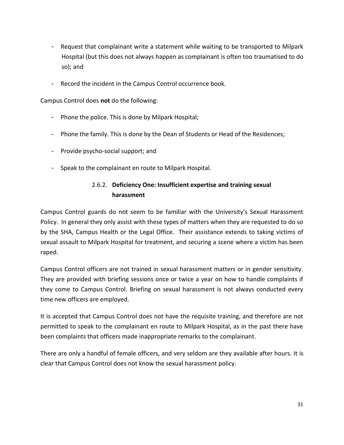- Request that complainant write a statement while waiting to be transported to Milpark Hospital (but this does not always happen as complainant is often too traumatised to do so); and
- Record the incident in the Campus Control occurrence book.

Campus Control does **not** do the following:

- Phone the police. This is done by Milpark Hospital;
- Phone the family. This is done by the Dean of Students or Head of the Residences;
- Provide psycho-social support; and
- Speak to the complainant en route to Milpark Hospital.

# 2.6.2. **Deficiency One: Insufficient expertise and training sexual harassment**

Campus Control guards do not seem to be familiar with the University's Sexual Harassment Policy. In general they only assist with these types of matters when they are requested to do so by the SHA, Campus Health or the Legal Office. Their assistance extends to taking victims of sexual assault to Milpark Hospital for treatment, and securing a scene where a victim has been raped.

Campus Control officers are not trained in sexual harassment matters or in gender sensitivity. They are provided with briefing sessions once or twice a year on how to handle complaints if they come to Campus Control. Briefing on sexual harassment is not always conducted every time new officers are employed.

It is accepted that Campus Control does not have the requisite training, and therefore are not permitted to speak to the complainant en route to Milpark Hospital, as in the past there have been complaints that officers made inappropriate remarks to the complainant.

There are only a handful of female officers, and very seldom are they available after hours. It is clear that Campus Control does not know the sexual harassment policy.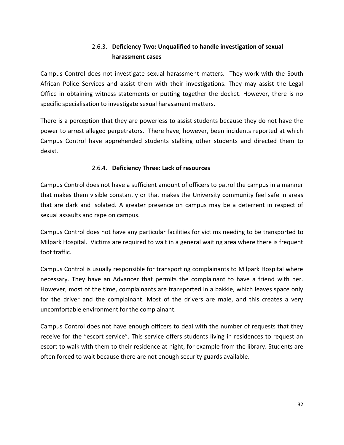# 2.6.3. **Deficiency Two: Unqualified to handle investigation of sexual harassment cases**

Campus Control does not investigate sexual harassment matters. They work with the South African Police Services and assist them with their investigations. They may assist the Legal Office in obtaining witness statements or putting together the docket. However, there is no specific specialisation to investigate sexual harassment matters.

There is a perception that they are powerless to assist students because they do not have the power to arrest alleged perpetrators. There have, however, been incidents reported at which Campus Control have apprehended students stalking other students and directed them to desist.

#### 2.6.4. **Deficiency Three: Lack of resources**

Campus Control does not have a sufficient amount of officers to patrol the campus in a manner that makes them visible constantly or that makes the University community feel safe in areas that are dark and isolated. A greater presence on campus may be a deterrent in respect of sexual assaults and rape on campus.

Campus Control does not have any particular facilities for victims needing to be transported to Milpark Hospital. Victims are required to wait in a general waiting area where there is frequent foot traffic.

Campus Control is usually responsible for transporting complainants to Milpark Hospital where necessary. They have an Advancer that permits the complainant to have a friend with her. However, most of the time, complainants are transported in a bakkie, which leaves space only for the driver and the complainant. Most of the drivers are male, and this creates a very uncomfortable environment for the complainant.

Campus Control does not have enough officers to deal with the number of requests that they receive for the "escort service". This service offers students living in residences to request an escort to walk with them to their residence at night, for example from the library. Students are often forced to wait because there are not enough security guards available.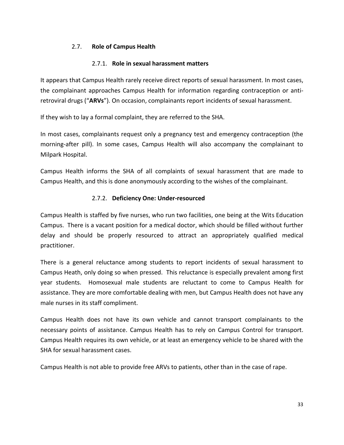### 2.7. **Role of Campus Health**

#### 2.7.1. **Role in sexual harassment matters**

It appears that Campus Health rarely receive direct reports of sexual harassment. In most cases, the complainant approaches Campus Health for information regarding contraception or antiretroviral drugs ("**ARVs**"). On occasion, complainants report incidents of sexual harassment.

If they wish to lay a formal complaint, they are referred to the SHA.

In most cases, complainants request only a pregnancy test and emergency contraception (the morning-after pill). In some cases, Campus Health will also accompany the complainant to Milpark Hospital.

Campus Health informs the SHA of all complaints of sexual harassment that are made to Campus Health, and this is done anonymously according to the wishes of the complainant.

#### 2.7.2. **Deficiency One: Under-resourced**

Campus Health is staffed by five nurses, who run two facilities, one being at the Wits Education Campus. There is a vacant position for a medical doctor, which should be filled without further delay and should be properly resourced to attract an appropriately qualified medical practitioner.

There is a general reluctance among students to report incidents of sexual harassment to Campus Heath, only doing so when pressed. This reluctance is especially prevalent among first year students. Homosexual male students are reluctant to come to Campus Health for assistance. They are more comfortable dealing with men, but Campus Health does not have any male nurses in its staff compliment.

Campus Health does not have its own vehicle and cannot transport complainants to the necessary points of assistance. Campus Health has to rely on Campus Control for transport. Campus Health requires its own vehicle, or at least an emergency vehicle to be shared with the SHA for sexual harassment cases.

Campus Health is not able to provide free ARVs to patients, other than in the case of rape.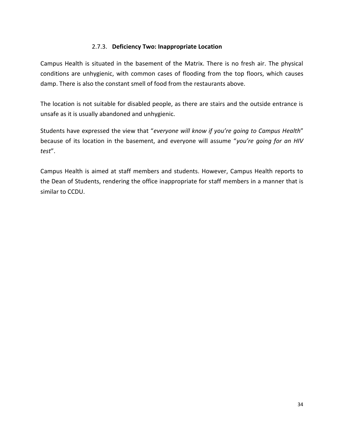#### 2.7.3. **Deficiency Two: Inappropriate Location**

Campus Health is situated in the basement of the Matrix. There is no fresh air. The physical conditions are unhygienic, with common cases of flooding from the top floors, which causes damp. There is also the constant smell of food from the restaurants above.

The location is not suitable for disabled people, as there are stairs and the outside entrance is unsafe as it is usually abandoned and unhygienic.

Students have expressed the view that "*everyone will know if you're going to Campus Health*" because of its location in the basement, and everyone will assume "*you're going for an HIV test*".

Campus Health is aimed at staff members and students. However, Campus Health reports to the Dean of Students, rendering the office inappropriate for staff members in a manner that is similar to CCDU.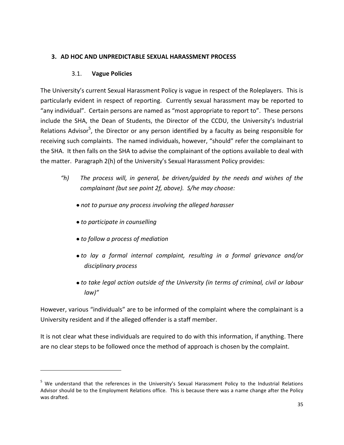#### **3. AD HOC AND UNPREDICTABLE SEXUAL HARASSMENT PROCESS**

#### 3.1. **Vague Policies**

The University's current Sexual Harassment Policy is vague in respect of the Roleplayers. This is particularly evident in respect of reporting. Currently sexual harassment may be reported to "any individual". Certain persons are named as "most appropriate to report to". These persons include the SHA, the Dean of Students, the Director of the CCDU, the University's Industrial Relations Advisor<sup>5</sup>, the Director or any person identified by a faculty as being responsible for receiving such complaints. The named individuals, however, "should" refer the complainant to the SHA. It then falls on the SHA to advise the complainant of the options available to deal with the matter. Paragraph 2(h) of the University's Sexual Harassment Policy provides:

- *"h) The process will, in general, be driven/guided by the needs and wishes of the complainant (but see point 2f, above). S/he may choose:*
	- *not to pursue any process involving the alleged harasser*
	- *to participate in counselling*

 $\overline{\phantom{a}}$ 

- *to follow a process of mediation*
- *to lay a formal internal complaint, resulting in a formal grievance and/or disciplinary process*
- *to take legal action outside of the University (in terms of criminal, civil or labour law)"*

However, various "individuals" are to be informed of the complaint where the complainant is a University resident and if the alleged offender is a staff member.

It is not clear what these individuals are required to do with this information, if anything. There are no clear steps to be followed once the method of approach is chosen by the complaint.

<sup>&</sup>lt;sup>5</sup> We understand that the references in the University's Sexual Harassment Policy to the Industrial Relations Advisor should be to the Employment Relations office. This is because there was a name change after the Policy was drafted.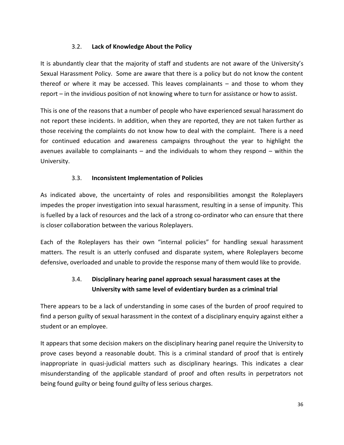## 3.2. **Lack of Knowledge About the Policy**

It is abundantly clear that the majority of staff and students are not aware of the University's Sexual Harassment Policy. Some are aware that there is a policy but do not know the content thereof or where it may be accessed. This leaves complainants – and those to whom they report – in the invidious position of not knowing where to turn for assistance or how to assist.

This is one of the reasons that a number of people who have experienced sexual harassment do not report these incidents. In addition, when they are reported, they are not taken further as those receiving the complaints do not know how to deal with the complaint. There is a need for continued education and awareness campaigns throughout the year to highlight the avenues available to complainants – and the individuals to whom they respond – within the University.

#### 3.3. **Inconsistent Implementation of Policies**

As indicated above, the uncertainty of roles and responsibilities amongst the Roleplayers impedes the proper investigation into sexual harassment, resulting in a sense of impunity. This is fuelled by a lack of resources and the lack of a strong co-ordinator who can ensure that there is closer collaboration between the various Roleplayers.

Each of the Roleplayers has their own "internal policies" for handling sexual harassment matters. The result is an utterly confused and disparate system, where Roleplayers become defensive, overloaded and unable to provide the response many of them would like to provide.

# 3.4. **Disciplinary hearing panel approach sexual harassment cases at the University with same level of evidentiary burden as a criminal trial**

There appears to be a lack of understanding in some cases of the burden of proof required to find a person guilty of sexual harassment in the context of a disciplinary enquiry against either a student or an employee.

It appears that some decision makers on the disciplinary hearing panel require the University to prove cases beyond a reasonable doubt. This is a criminal standard of proof that is entirely inappropriate in quasi-judicial matters such as disciplinary hearings. This indicates a clear misunderstanding of the applicable standard of proof and often results in perpetrators not being found guilty or being found guilty of less serious charges.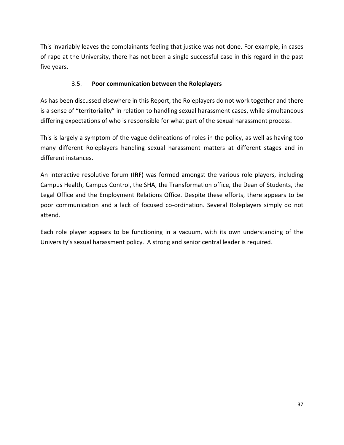This invariably leaves the complainants feeling that justice was not done. For example, in cases of rape at the University, there has not been a single successful case in this regard in the past five years.

# 3.5. **Poor communication between the Roleplayers**

As has been discussed elsewhere in this Report, the Roleplayers do not work together and there is a sense of "territoriality" in relation to handling sexual harassment cases, while simultaneous differing expectations of who is responsible for what part of the sexual harassment process.

This is largely a symptom of the vague delineations of roles in the policy, as well as having too many different Roleplayers handling sexual harassment matters at different stages and in different instances.

An interactive resolutive forum (**IRF**) was formed amongst the various role players, including Campus Health, Campus Control, the SHA, the Transformation office, the Dean of Students, the Legal Office and the Employment Relations Office. Despite these efforts, there appears to be poor communication and a lack of focused co-ordination. Several Roleplayers simply do not attend.

Each role player appears to be functioning in a vacuum, with its own understanding of the University's sexual harassment policy. A strong and senior central leader is required.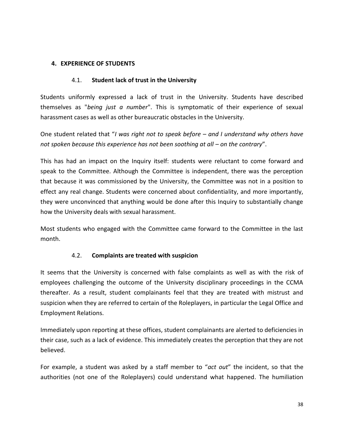# **4. EXPERIENCE OF STUDENTS**

# 4.1. **Student lack of trust in the University**

Students uniformly expressed a lack of trust in the University. Students have described themselves as "*being just a number*". This is symptomatic of their experience of sexual harassment cases as well as other bureaucratic obstacles in the University.

One student related that "*I was right not to speak before – and I understand why others have not spoken because this experience has not been soothing at all – on the contrary".* 

This has had an impact on the Inquiry itself: students were reluctant to come forward and speak to the Committee. Although the Committee is independent, there was the perception that because it was commissioned by the University, the Committee was not in a position to effect any real change. Students were concerned about confidentiality, and more importantly, they were unconvinced that anything would be done after this Inquiry to substantially change how the University deals with sexual harassment.

Most students who engaged with the Committee came forward to the Committee in the last month.

# 4.2. **Complaints are treated with suspicion**

It seems that the University is concerned with false complaints as well as with the risk of employees challenging the outcome of the University disciplinary proceedings in the CCMA thereafter. As a result, student complainants feel that they are treated with mistrust and suspicion when they are referred to certain of the Roleplayers, in particular the Legal Office and Employment Relations.

Immediately upon reporting at these offices, student complainants are alerted to deficiencies in their case, such as a lack of evidence. This immediately creates the perception that they are not believed.

For example, a student was asked by a staff member to "*act out*" the incident, so that the authorities (not one of the Roleplayers) could understand what happened. The humiliation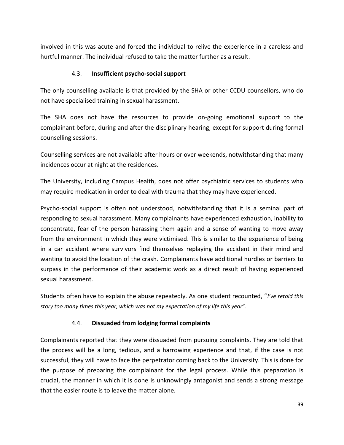involved in this was acute and forced the individual to relive the experience in a careless and hurtful manner. The individual refused to take the matter further as a result.

# 4.3. **Insufficient psycho-social support**

The only counselling available is that provided by the SHA or other CCDU counsellors, who do not have specialised training in sexual harassment.

The SHA does not have the resources to provide on-going emotional support to the complainant before, during and after the disciplinary hearing, except for support during formal counselling sessions.

Counselling services are not available after hours or over weekends, notwithstanding that many incidences occur at night at the residences.

The University, including Campus Health, does not offer psychiatric services to students who may require medication in order to deal with trauma that they may have experienced.

Psycho-social support is often not understood, notwithstanding that it is a seminal part of responding to sexual harassment. Many complainants have experienced exhaustion, inability to concentrate, fear of the person harassing them again and a sense of wanting to move away from the environment in which they were victimised. This is similar to the experience of being in a car accident where survivors find themselves replaying the accident in their mind and wanting to avoid the location of the crash. Complainants have additional hurdles or barriers to surpass in the performance of their academic work as a direct result of having experienced sexual harassment.

Students often have to explain the abuse repeatedly. As one student recounted, "*I've retold this story too many times this year, which was not my expectation of my life this year*".

# 4.4. **Dissuaded from lodging formal complaints**

Complainants reported that they were dissuaded from pursuing complaints. They are told that the process will be a long, tedious, and a harrowing experience and that, if the case is not successful, they will have to face the perpetrator coming back to the University. This is done for the purpose of preparing the complainant for the legal process. While this preparation is crucial, the manner in which it is done is unknowingly antagonist and sends a strong message that the easier route is to leave the matter alone.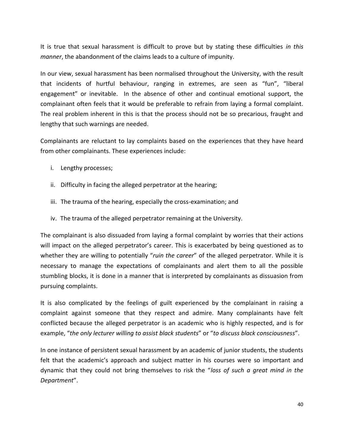It is true that sexual harassment is difficult to prove but by stating these difficulties *in this manner*, the abandonment of the claims leads to a culture of impunity.

In our view, sexual harassment has been normalised throughout the University, with the result that incidents of hurtful behaviour, ranging in extremes, are seen as "fun", "liberal engagement" or inevitable. In the absence of other and continual emotional support, the complainant often feels that it would be preferable to refrain from laying a formal complaint. The real problem inherent in this is that the process should not be so precarious, fraught and lengthy that such warnings are needed.

Complainants are reluctant to lay complaints based on the experiences that they have heard from other complainants. These experiences include:

- i. Lengthy processes;
- ii. Difficulty in facing the alleged perpetrator at the hearing;
- iii. The trauma of the hearing, especially the cross-examination; and
- iv. The trauma of the alleged perpetrator remaining at the University.

The complainant is also dissuaded from laying a formal complaint by worries that their actions will impact on the alleged perpetrator's career. This is exacerbated by being questioned as to whether they are willing to potentially "*ruin the career*" of the alleged perpetrator. While it is necessary to manage the expectations of complainants and alert them to all the possible stumbling blocks, it is done in a manner that is interpreted by complainants as dissuasion from pursuing complaints.

It is also complicated by the feelings of guilt experienced by the complainant in raising a complaint against someone that they respect and admire. Many complainants have felt conflicted because the alleged perpetrator is an academic who is highly respected, and is for example, "*the only lecturer willing to assist black students*" or "*to discuss black consciousness*".

In one instance of persistent sexual harassment by an academic of junior students, the students felt that the academic's approach and subject matter in his courses were so important and dynamic that they could not bring themselves to risk the "*loss of such a great mind in the Department*".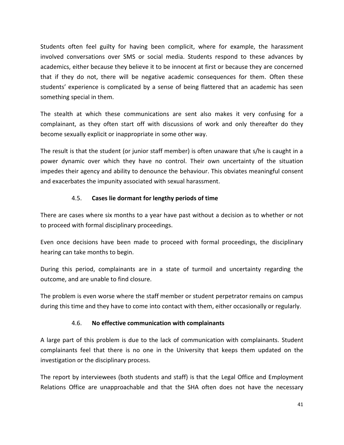Students often feel guilty for having been complicit, where for example, the harassment involved conversations over SMS or social media. Students respond to these advances by academics, either because they believe it to be innocent at first or because they are concerned that if they do not, there will be negative academic consequences for them. Often these students' experience is complicated by a sense of being flattered that an academic has seen something special in them.

The stealth at which these communications are sent also makes it very confusing for a complainant, as they often start off with discussions of work and only thereafter do they become sexually explicit or inappropriate in some other way.

The result is that the student (or junior staff member) is often unaware that s/he is caught in a power dynamic over which they have no control. Their own uncertainty of the situation impedes their agency and ability to denounce the behaviour. This obviates meaningful consent and exacerbates the impunity associated with sexual harassment.

# 4.5. **Cases lie dormant for lengthy periods of time**

There are cases where six months to a year have past without a decision as to whether or not to proceed with formal disciplinary proceedings.

Even once decisions have been made to proceed with formal proceedings, the disciplinary hearing can take months to begin.

During this period, complainants are in a state of turmoil and uncertainty regarding the outcome, and are unable to find closure.

The problem is even worse where the staff member or student perpetrator remains on campus during this time and they have to come into contact with them, either occasionally or regularly.

# 4.6. **No effective communication with complainants**

A large part of this problem is due to the lack of communication with complainants. Student complainants feel that there is no one in the University that keeps them updated on the investigation or the disciplinary process.

The report by interviewees (both students and staff) is that the Legal Office and Employment Relations Office are unapproachable and that the SHA often does not have the necessary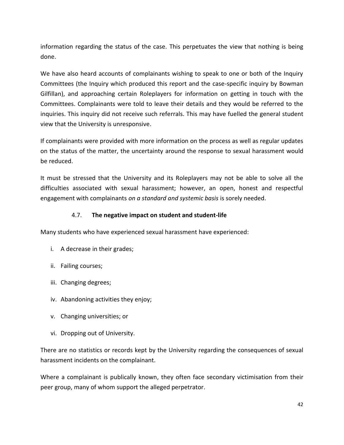information regarding the status of the case. This perpetuates the view that nothing is being done.

We have also heard accounts of complainants wishing to speak to one or both of the Inquiry Committees (the Inquiry which produced this report and the case-specific inquiry by Bowman Gilfillan), and approaching certain Roleplayers for information on getting in touch with the Committees. Complainants were told to leave their details and they would be referred to the inquiries. This inquiry did not receive such referrals. This may have fuelled the general student view that the University is unresponsive.

If complainants were provided with more information on the process as well as regular updates on the status of the matter, the uncertainty around the response to sexual harassment would be reduced.

It must be stressed that the University and its Roleplayers may not be able to solve all the difficulties associated with sexual harassment; however, an open, honest and respectful engagement with complainants *on a standard and systemic basis* is sorely needed.

# 4.7. **The negative impact on student and student-life**

Many students who have experienced sexual harassment have experienced:

- i. A decrease in their grades;
- ii. Failing courses;
- iii. Changing degrees;
- iv. Abandoning activities they enjoy;
- v. Changing universities; or
- vi. Dropping out of University.

There are no statistics or records kept by the University regarding the consequences of sexual harassment incidents on the complainant.

Where a complainant is publically known, they often face secondary victimisation from their peer group, many of whom support the alleged perpetrator.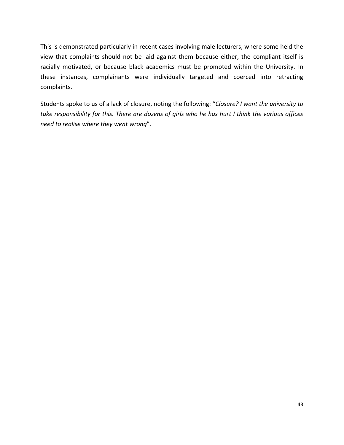This is demonstrated particularly in recent cases involving male lecturers, where some held the view that complaints should not be laid against them because either, the compliant itself is racially motivated, or because black academics must be promoted within the University. In these instances, complainants were individually targeted and coerced into retracting complaints.

Students spoke to us of a lack of closure, noting the following: "*Closure? I want the university to take responsibility for this. There are dozens of girls who he has hurt I think the various offices need to realise where they went wrong*".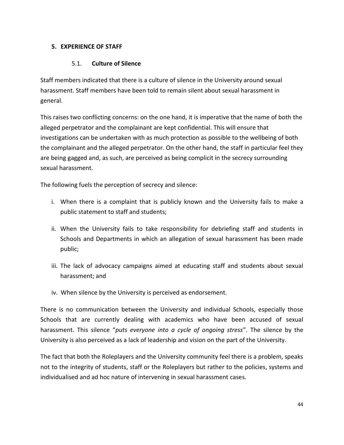# **5. EXPERIENCE OF STAFF**

# 5.1. **Culture of Silence**

Staff members indicated that there is a culture of silence in the University around sexual harassment. Staff members have been told to remain silent about sexual harassment in general.

This raises two conflicting concerns: on the one hand, it is imperative that the name of both the alleged perpetrator and the complainant are kept confidential. This will ensure that investigations can be undertaken with as much protection as possible to the wellbeing of both the complainant and the alleged perpetrator. On the other hand, the staff in particular feel they are being gagged and, as such, are perceived as being complicit in the secrecy surrounding sexual harassment.

The following fuels the perception of secrecy and silence:

- i. When there is a complaint that is publicly known and the University fails to make a public statement to staff and students;
- ii. When the University fails to take responsibility for debriefing staff and students in Schools and Departments in which an allegation of sexual harassment has been made public;
- iii. The lack of advocacy campaigns aimed at educating staff and students about sexual harassment; and
- iv. When silence by the University is perceived as endorsement.

There is no communication between the University and individual Schools, especially those Schools that are currently dealing with academics who have been accused of sexual harassment. This silence "*puts everyone into a cycle of ongoing stress*". The silence by the University is also perceived as a lack of leadership and vision on the part of the University.

The fact that both the Roleplayers and the University community feel there is a problem, speaks not to the integrity of students, staff or the Roleplayers but rather to the policies, systems and individualised and ad hoc nature of intervening in sexual harassment cases.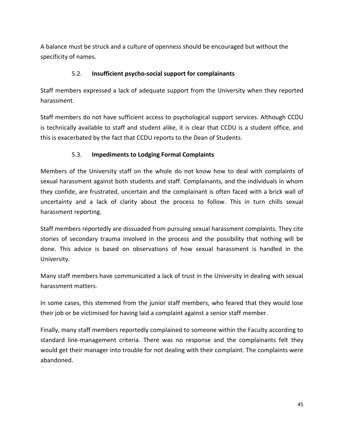A balance must be struck and a culture of openness should be encouraged but without the specificity of names.

### 5.2. **Insufficient psycho-social support for complainants**

Staff members expressed a lack of adequate support from the University when they reported harassment.

Staff members do not have sufficient access to psychological support services. Although CCDU is technically available to staff and student alike, it is clear that CCDU is a student office, and this is exacerbated by the fact that CCDU reports to the Dean of Students.

# 5.3. **Impediments to Lodging Formal Complaints**

Members of the University staff on the whole do not know how to deal with complaints of sexual harassment against both students and staff. Complainants, and the individuals in whom they confide, are frustrated, uncertain and the complainant is often faced with a brick wall of uncertainty and a lack of clarity about the process to follow. This in turn chills sexual harassment reporting.

Staff members reportedly are dissuaded from pursuing sexual harassment complaints. They cite stories of secondary trauma involved in the process and the possibility that nothing will be done. This advice is based on observations of how sexual harassment is handled in the University.

Many staff members have communicated a lack of trust in the University in dealing with sexual harassment matters.

In some cases, this stemmed from the junior staff members, who feared that they would lose their job or be victimised for having laid a complaint against a senior staff member.

Finally, many staff members reportedly complained to someone within the Faculty according to standard line-management criteria. There was no response and the complainants felt they would get their manager into trouble for not dealing with their complaint. The complaints were abandoned.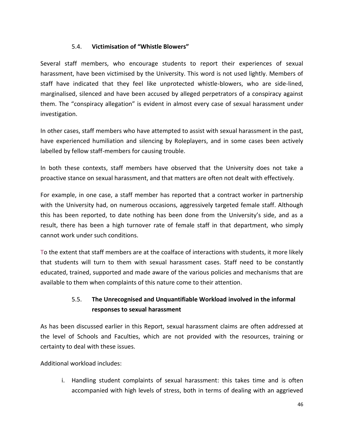# 5.4. **Victimisation of "Whistle Blowers"**

Several staff members, who encourage students to report their experiences of sexual harassment, have been victimised by the University. This word is not used lightly. Members of staff have indicated that they feel like unprotected whistle-blowers, who are side-lined, marginalised, silenced and have been accused by alleged perpetrators of a conspiracy against them. The "conspiracy allegation" is evident in almost every case of sexual harassment under investigation.

In other cases, staff members who have attempted to assist with sexual harassment in the past, have experienced humiliation and silencing by Roleplayers, and in some cases been actively labelled by fellow staff-members for causing trouble.

In both these contexts, staff members have observed that the University does not take a proactive stance on sexual harassment, and that matters are often not dealt with effectively.

For example, in one case, a staff member has reported that a contract worker in partnership with the University had, on numerous occasions, aggressively targeted female staff. Although this has been reported, to date nothing has been done from the University's side, and as a result, there has been a high turnover rate of female staff in that department, who simply cannot work under such conditions.

To the extent that staff members are at the coalface of interactions with students, it more likely that students will turn to them with sexual harassment cases. Staff need to be constantly educated, trained, supported and made aware of the various policies and mechanisms that are available to them when complaints of this nature come to their attention.

# 5.5. **The Unrecognised and Unquantifiable Workload involved in the informal responses to sexual harassment**

As has been discussed earlier in this Report, sexual harassment claims are often addressed at the level of Schools and Faculties, which are not provided with the resources, training or certainty to deal with these issues.

Additional workload includes:

i. Handling student complaints of sexual harassment: this takes time and is often accompanied with high levels of stress, both in terms of dealing with an aggrieved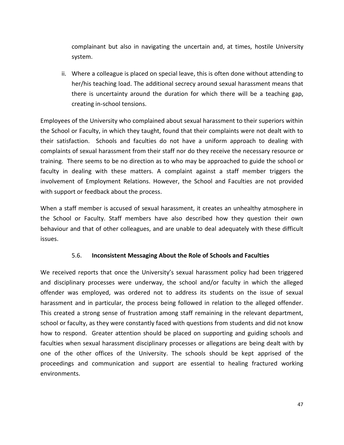complainant but also in navigating the uncertain and, at times, hostile University system.

ii. Where a colleague is placed on special leave, this is often done without attending to her/his teaching load. The additional secrecy around sexual harassment means that there is uncertainty around the duration for which there will be a teaching gap, creating in-school tensions.

Employees of the University who complained about sexual harassment to their superiors within the School or Faculty, in which they taught, found that their complaints were not dealt with to their satisfaction. Schools and faculties do not have a uniform approach to dealing with complaints of sexual harassment from their staff nor do they receive the necessary resource or training. There seems to be no direction as to who may be approached to guide the school or faculty in dealing with these matters. A complaint against a staff member triggers the involvement of Employment Relations. However, the School and Faculties are not provided with support or feedback about the process.

When a staff member is accused of sexual harassment, it creates an unhealthy atmosphere in the School or Faculty. Staff members have also described how they question their own behaviour and that of other colleagues, and are unable to deal adequately with these difficult issues.

### 5.6. **Inconsistent Messaging About the Role of Schools and Faculties**

We received reports that once the University's sexual harassment policy had been triggered and disciplinary processes were underway, the school and/or faculty in which the alleged offender was employed, was ordered not to address its students on the issue of sexual harassment and in particular, the process being followed in relation to the alleged offender. This created a strong sense of frustration among staff remaining in the relevant department, school or faculty, as they were constantly faced with questions from students and did not know how to respond. Greater attention should be placed on supporting and guiding schools and faculties when sexual harassment disciplinary processes or allegations are being dealt with by one of the other offices of the University. The schools should be kept apprised of the proceedings and communication and support are essential to healing fractured working environments.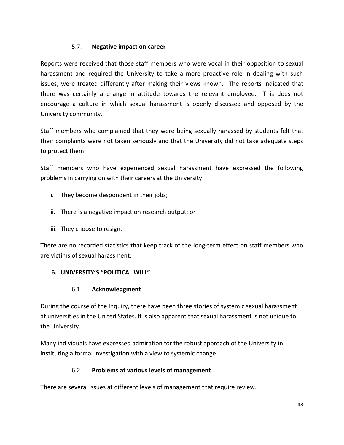# 5.7. **Negative impact on career**

Reports were received that those staff members who were vocal in their opposition to sexual harassment and required the University to take a more proactive role in dealing with such issues, were treated differently after making their views known. The reports indicated that there was certainly a change in attitude towards the relevant employee. This does not encourage a culture in which sexual harassment is openly discussed and opposed by the University community.

Staff members who complained that they were being sexually harassed by students felt that their complaints were not taken seriously and that the University did not take adequate steps to protect them.

Staff members who have experienced sexual harassment have expressed the following problems in carrying on with their careers at the University:

- i. They become despondent in their jobs;
- ii. There is a negative impact on research output; or
- iii. They choose to resign.

There are no recorded statistics that keep track of the long-term effect on staff members who are victims of sexual harassment.

# **6. UNIVERSITY'S "POLITICAL WILL"**

# 6.1. **Acknowledgment**

During the course of the Inquiry, there have been three stories of systemic sexual harassment at universities in the United States. It is also apparent that sexual harassment is not unique to the University.

Many individuals have expressed admiration for the robust approach of the University in instituting a formal investigation with a view to systemic change.

# 6.2. **Problems at various levels of management**

There are several issues at different levels of management that require review.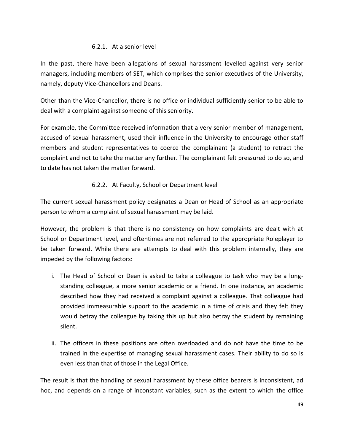### 6.2.1. At a senior level

In the past, there have been allegations of sexual harassment levelled against very senior managers, including members of SET, which comprises the senior executives of the University, namely, deputy Vice-Chancellors and Deans.

Other than the Vice-Chancellor, there is no office or individual sufficiently senior to be able to deal with a complaint against someone of this seniority.

For example, the Committee received information that a very senior member of management, accused of sexual harassment, used their influence in the University to encourage other staff members and student representatives to coerce the complainant (a student) to retract the complaint and not to take the matter any further. The complainant felt pressured to do so, and to date has not taken the matter forward.

# 6.2.2. At Faculty, School or Department level

The current sexual harassment policy designates a Dean or Head of School as an appropriate person to whom a complaint of sexual harassment may be laid.

However, the problem is that there is no consistency on how complaints are dealt with at School or Department level, and oftentimes are not referred to the appropriate Roleplayer to be taken forward. While there are attempts to deal with this problem internally, they are impeded by the following factors:

- i. The Head of School or Dean is asked to take a colleague to task who may be a longstanding colleague, a more senior academic or a friend. In one instance, an academic described how they had received a complaint against a colleague. That colleague had provided immeasurable support to the academic in a time of crisis and they felt they would betray the colleague by taking this up but also betray the student by remaining silent.
- ii. The officers in these positions are often overloaded and do not have the time to be trained in the expertise of managing sexual harassment cases. Their ability to do so is even less than that of those in the Legal Office.

The result is that the handling of sexual harassment by these office bearers is inconsistent, ad hoc, and depends on a range of inconstant variables, such as the extent to which the office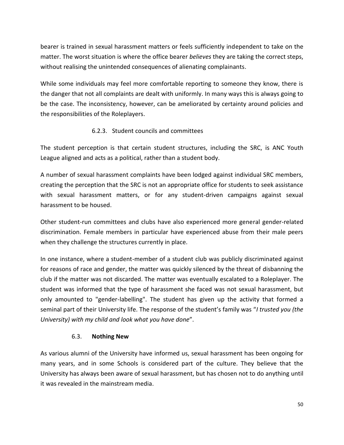bearer is trained in sexual harassment matters or feels sufficiently independent to take on the matter. The worst situation is where the office bearer *believes* they are taking the correct steps, without realising the unintended consequences of alienating complainants.

While some individuals may feel more comfortable reporting to someone they know, there is the danger that not all complaints are dealt with uniformly. In many ways this is always going to be the case. The inconsistency, however, can be ameliorated by certainty around policies and the responsibilities of the Roleplayers.

# 6.2.3. Student councils and committees

The student perception is that certain student structures, including the SRC, is ANC Youth League aligned and acts as a political, rather than a student body.

A number of sexual harassment complaints have been lodged against individual SRC members, creating the perception that the SRC is not an appropriate office for students to seek assistance with sexual harassment matters, or for any student-driven campaigns against sexual harassment to be housed.

Other student-run committees and clubs have also experienced more general gender-related discrimination. Female members in particular have experienced abuse from their male peers when they challenge the structures currently in place.

In one instance, where a student-member of a student club was publicly discriminated against for reasons of race and gender, the matter was quickly silenced by the threat of disbanning the club if the matter was not discarded. The matter was eventually escalated to a Roleplayer. The student was informed that the type of harassment she faced was not sexual harassment, but only amounted to "gender-labelling". The student has given up the activity that formed a seminal part of their University life. The response of the student's family was "*I trusted you (the University) with my child and look what you have done*".

# 6.3. **Nothing New**

As various alumni of the University have informed us, sexual harassment has been ongoing for many years, and in some Schools is considered part of the culture. They believe that the University has always been aware of sexual harassment, but has chosen not to do anything until it was revealed in the mainstream media.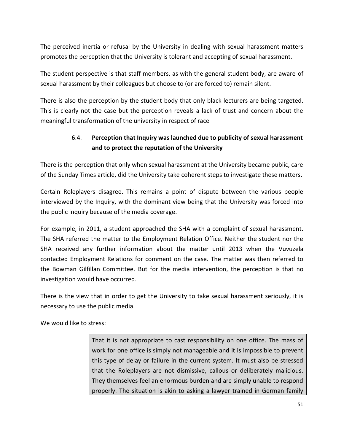The perceived inertia or refusal by the University in dealing with sexual harassment matters promotes the perception that the University is tolerant and accepting of sexual harassment.

The student perspective is that staff members, as with the general student body, are aware of sexual harassment by their colleagues but choose to (or are forced to) remain silent.

There is also the perception by the student body that only black lecturers are being targeted. This is clearly not the case but the perception reveals a lack of trust and concern about the meaningful transformation of the university in respect of race

# 6.4. **Perception that Inquiry was launched due to publicity of sexual harassment and to protect the reputation of the University**

There is the perception that only when sexual harassment at the University became public, care of the Sunday Times article, did the University take coherent steps to investigate these matters.

Certain Roleplayers disagree. This remains a point of dispute between the various people interviewed by the Inquiry, with the dominant view being that the University was forced into the public inquiry because of the media coverage.

For example, in 2011, a student approached the SHA with a complaint of sexual harassment. The SHA referred the matter to the Employment Relation Office. Neither the student nor the SHA received any further information about the matter until 2013 when the Vuvuzela contacted Employment Relations for comment on the case. The matter was then referred to the Bowman Gilfillan Committee. But for the media intervention, the perception is that no investigation would have occurred.

There is the view that in order to get the University to take sexual harassment seriously, it is necessary to use the public media.

We would like to stress:

That it is not appropriate to cast responsibility on one office. The mass of work for one office is simply not manageable and it is impossible to prevent this type of delay or failure in the current system. It must also be stressed that the Roleplayers are not dismissive, callous or deliberately malicious. They themselves feel an enormous burden and are simply unable to respond properly. The situation is akin to asking a lawyer trained in German family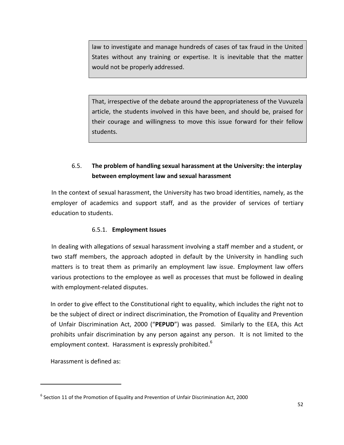law to investigate and manage hundreds of cases of tax fraud in the United States without any training or expertise. It is inevitable that the matter would not be properly addressed.

That, irrespective of the debate around the appropriateness of the Vuvuzela article, the students involved in this have been, and should be, praised for their courage and willingness to move this issue forward for their fellow students.

# 6.5. **The problem of handling sexual harassment at the University: the interplay between employment law and sexual harassment**

In the context of sexual harassment, the University has two broad identities, namely, as the employer of academics and support staff, and as the provider of services of tertiary education to students.

# 6.5.1. **Employment Issues**

In dealing with allegations of sexual harassment involving a staff member and a student, or two staff members, the approach adopted in default by the University in handling such matters is to treat them as primarily an employment law issue. Employment law offers various protections to the employee as well as processes that must be followed in dealing with employment-related disputes.

In order to give effect to the Constitutional right to equality, which includes the right not to be the subject of direct or indirect discrimination, the Promotion of Equality and Prevention of Unfair Discrimination Act, 2000 ("**PEPUD**") was passed. Similarly to the EEA, this Act prohibits unfair discrimination by any person against any person. It is not limited to the employment context. Harassment is expressly prohibited.<sup>6</sup>

Harassment is defined as:

 $\overline{a}$ 

 $^6$  Section 11 of the Promotion of Equality and Prevention of Unfair Discrimination Act, 2000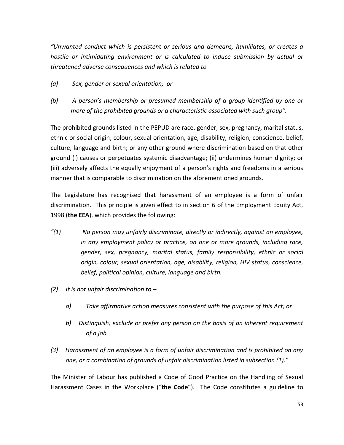*"Unwanted conduct which is persistent or serious and demeans, humiliates, or creates a hostile or intimidating environment or is calculated to induce submission by actual or threatened adverse consequences and which is related to –*

- *(a) Sex, gender or sexual orientation; or*
- *(b) A person's membership or presumed membership of a group identified by one or more of the prohibited grounds or a characteristic associated with such group".*

The prohibited grounds listed in the PEPUD are race, gender, sex, pregnancy, marital status, ethnic or social origin, colour, sexual orientation, age, disability, religion, conscience, belief, culture, language and birth; or any other ground where discrimination based on that other ground (i) causes or perpetuates systemic disadvantage; (ii) undermines human dignity; or (iii) adversely affects the equally enjoyment of a person's rights and freedoms in a serious manner that is comparable to discrimination on the aforementioned grounds.

The Legislature has recognised that harassment of an employee is a form of unfair discrimination. This principle is given effect to in section 6 of the Employment Equity Act, 1998 (**the EEA**), which provides the following:

- *"(1) No person may unfairly discriminate, directly or indirectly, against an employee, in any employment policy or practice, on one or more grounds, including race, gender, sex, pregnancy, marital status, family responsibility, ethnic or social origin, colour, sexual orientation, age, disability, religion, HIV status, conscience, belief, political opinion, culture, language and birth.*
- *(2) It is not unfair discrimination to –*
	- *a) Take affirmative action measures consistent with the purpose of this Act; or*
	- *b) Distinguish, exclude or prefer any person on the basis of an inherent requirement of a job.*
- *(3) Harassment of an employee is a form of unfair discrimination and is prohibited on any one, or a combination of grounds of unfair discrimination listed in subsection (1)."*

The Minister of Labour has published a Code of Good Practice on the Handling of Sexual Harassment Cases in the Workplace ("**the Code**"). The Code constitutes a guideline to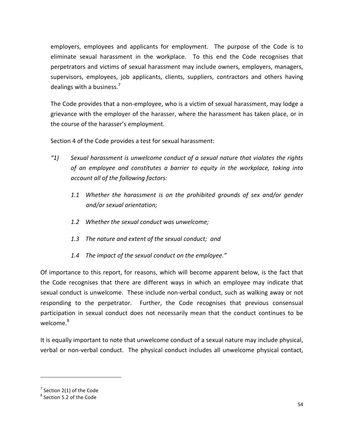employers, employees and applicants for employment. The purpose of the Code is to eliminate sexual harassment in the workplace. To this end the Code recognises that perpetrators and victims of sexual harassment may include owners, employers, managers, supervisors, employees, job applicants, clients, suppliers, contractors and others having dealings with a business. $<sup>7</sup>$ </sup>

The Code provides that a non-employee, who is a victim of sexual harassment, may lodge a grievance with the employer of the harasser, where the harassment has taken place, or in the course of the harasser's employment.

Section 4 of the Code provides a test for sexual harassment:

- *"1) Sexual harassment is unwelcome conduct of a sexual nature that violates the rights of an employee and constitutes a barrier to equity in the workplace, taking into account all of the following factors:*
	- *1.1 Whether the harassment is on the prohibited grounds of sex and/or gender and/or sexual orientation;*
	- *1.2 Whether the sexual conduct was unwelcome;*
	- *1.3 The nature and extent of the sexual conduct; and*
	- *1.4 The impact of the sexual conduct on the employee."*

Of importance to this report, for reasons, which will become apparent below, is the fact that the Code recognises that there are different ways in which an employee may indicate that sexual conduct is unwelcome. These include non-verbal conduct, such as walking away or not responding to the perpetrator. Further, the Code recognises that previous consensual participation in sexual conduct does not necessarily mean that the conduct continues to be welcome.<sup>8</sup>

It is equally important to note that unwelcome conduct of a sexual nature may include physical, verbal or non-verbal conduct. The physical conduct includes all unwelcome physical contact,

l

 $7$  Section 2(1) of the Code

<sup>&</sup>lt;sup>8</sup> Section 5.2 of the Code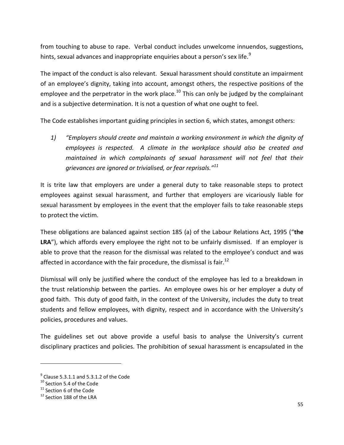from touching to abuse to rape. Verbal conduct includes unwelcome innuendos, suggestions, hints, sexual advances and inappropriate enquiries about a person's sex life.<sup>9</sup>

The impact of the conduct is also relevant. Sexual harassment should constitute an impairment of an employee's dignity, taking into account, amongst others, the respective positions of the employee and the perpetrator in the work place.<sup>10</sup> This can only be judged by the complainant and is a subjective determination. It is not a question of what one ought to feel.

The Code establishes important guiding principles in section 6, which states, amongst others:

*1) "Employers should create and maintain a working environment in which the dignity of employees is respected. A climate in the workplace should also be created and maintained in which complainants of sexual harassment will not feel that their grievances are ignored or trivialised, or fear reprisals."<sup>11</sup>*

It is trite law that employers are under a general duty to take reasonable steps to protect employees against sexual harassment, and further that employers are vicariously liable for sexual harassment by employees in the event that the employer fails to take reasonable steps to protect the victim.

These obligations are balanced against section 185 (a) of the Labour Relations Act, 1995 ("**the LRA**"), which affords every employee the right not to be unfairly dismissed. If an employer is able to prove that the reason for the dismissal was related to the employee's conduct and was affected in accordance with the fair procedure, the dismissal is fair.<sup>12</sup>

Dismissal will only be justified where the conduct of the employee has led to a breakdown in the trust relationship between the parties. An employee owes his or her employer a duty of good faith. This duty of good faith, in the context of the University, includes the duty to treat students and fellow employees, with dignity, respect and in accordance with the University's policies, procedures and values.

The guidelines set out above provide a useful basis to analyse the University's current disciplinary practices and policies. The prohibition of sexual harassment is encapsulated in the

 $\overline{\phantom{a}}$ 

 $<sup>9</sup>$  Clause 5.3.1.1 and 5.3.1.2 of the Code</sup>

<sup>&</sup>lt;sup>10</sup> Section 5.4 of the Code

<sup>&</sup>lt;sup>11</sup> Section 6 of the Code

<sup>&</sup>lt;sup>12</sup> Section 188 of the LRA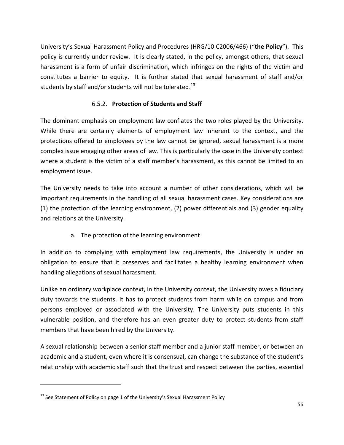University's Sexual Harassment Policy and Procedures (HRG/10 C2006/466) ("**the Policy**"). This policy is currently under review. It is clearly stated, in the policy, amongst others, that sexual harassment is a form of unfair discrimination, which infringes on the rights of the victim and constitutes a barrier to equity. It is further stated that sexual harassment of staff and/or students by staff and/or students will not be tolerated.<sup>13</sup>

# 6.5.2. **Protection of Students and Staff**

The dominant emphasis on employment law conflates the two roles played by the University. While there are certainly elements of employment law inherent to the context, and the protections offered to employees by the law cannot be ignored, sexual harassment is a more complex issue engaging other areas of law. This is particularly the case in the University context where a student is the victim of a staff member's harassment, as this cannot be limited to an employment issue.

The University needs to take into account a number of other considerations, which will be important requirements in the handling of all sexual harassment cases. Key considerations are (1) the protection of the learning environment, (2) power differentials and (3) gender equality and relations at the University.

a. The protection of the learning environment

In addition to complying with employment law requirements, the University is under an obligation to ensure that it preserves and facilitates a healthy learning environment when handling allegations of sexual harassment.

Unlike an ordinary workplace context, in the University context, the University owes a fiduciary duty towards the students. It has to protect students from harm while on campus and from persons employed or associated with the University. The University puts students in this vulnerable position, and therefore has an even greater duty to protect students from staff members that have been hired by the University.

A sexual relationship between a senior staff member and a junior staff member, or between an academic and a student, even where it is consensual, can change the substance of the student's relationship with academic staff such that the trust and respect between the parties, essential

 $\overline{a}$ 

 $13$  See Statement of Policy on page 1 of the University's Sexual Harassment Policy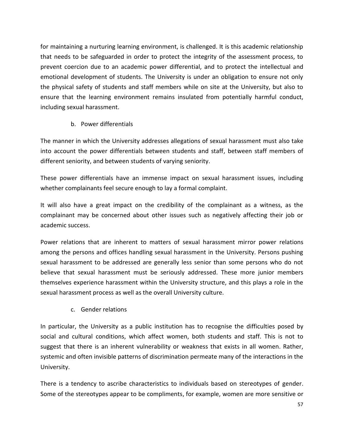for maintaining a nurturing learning environment, is challenged. It is this academic relationship that needs to be safeguarded in order to protect the integrity of the assessment process, to prevent coercion due to an academic power differential, and to protect the intellectual and emotional development of students. The University is under an obligation to ensure not only the physical safety of students and staff members while on site at the University, but also to ensure that the learning environment remains insulated from potentially harmful conduct, including sexual harassment.

# b. Power differentials

The manner in which the University addresses allegations of sexual harassment must also take into account the power differentials between students and staff, between staff members of different seniority, and between students of varying seniority.

These power differentials have an immense impact on sexual harassment issues, including whether complainants feel secure enough to lay a formal complaint.

It will also have a great impact on the credibility of the complainant as a witness, as the complainant may be concerned about other issues such as negatively affecting their job or academic success.

Power relations that are inherent to matters of sexual harassment mirror power relations among the persons and offices handling sexual harassment in the University. Persons pushing sexual harassment to be addressed are generally less senior than some persons who do not believe that sexual harassment must be seriously addressed. These more junior members themselves experience harassment within the University structure, and this plays a role in the sexual harassment process as well as the overall University culture.

c. Gender relations

In particular, the University as a public institution has to recognise the difficulties posed by social and cultural conditions, which affect women, both students and staff. This is not to suggest that there is an inherent vulnerability or weakness that exists in all women. Rather, systemic and often invisible patterns of discrimination permeate many of the interactions in the University.

There is a tendency to ascribe characteristics to individuals based on stereotypes of gender. Some of the stereotypes appear to be compliments, for example, women are more sensitive or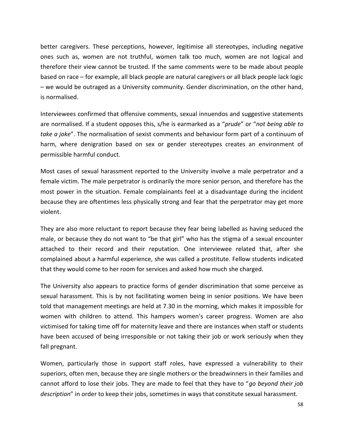better caregivers. These perceptions, however, legitimise all stereotypes, including negative ones such as, women are not truthful, women talk too much, women are not logical and therefore their view cannot be trusted. If the same comments were to be made about people based on race – for example, all black people are natural caregivers or all black people lack logic – we would be outraged as a University community. Gender discrimination, on the other hand, is normalised.

Interviewees confirmed that offensive comments, sexual innuendos and suggestive statements are normalised. If a student opposes this, s/he is earmarked as a "*prude*" or "*not being able to take a joke*". The normalisation of sexist comments and behaviour form part of a continuum of harm, where denigration based on sex or gender stereotypes creates an environment of permissible harmful conduct.

Most cases of sexual harassment reported to the University involve a male perpetrator and a female victim. The male perpetrator is ordinarily the more senior person, and therefore has the most power in the situation. Female complainants feel at a disadvantage during the incident because they are oftentimes less physically strong and fear that the perpetrator may get more violent.

They are also more reluctant to report because they fear being labelled as having seduced the male, or because they do not want to "be that girl" who has the stigma of a sexual encounter attached to their record and their reputation. One interviewee related that, after she complained about a harmful experience, she was called a prostitute. Fellow students indicated that they would come to her room for services and asked how much she charged.

The University also appears to practice forms of gender discrimination that some perceive as sexual harassment. This is by not facilitating women being in senior positions. We have been told that management meetings are held at 7.30 in the morning, which makes it impossible for women with children to attend. This hampers women's career progress. Women are also victimised for taking time off for maternity leave and there are instances when staff or students have been accused of being irresponsible or not taking their job or work seriously when they fall pregnant.

Women, particularly those in support staff roles, have expressed a vulnerability to their superiors, often men, because they are single mothers or the breadwinners in their families and cannot afford to lose their jobs. They are made to feel that they have to "*go beyond their job description*" in order to keep their jobs, sometimes in ways that constitute sexual harassment.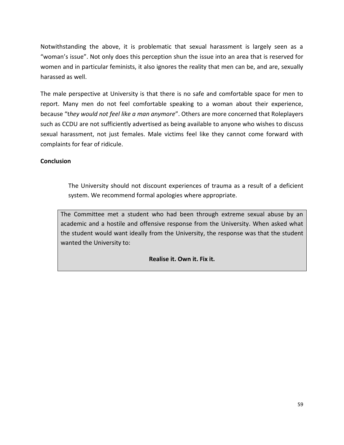Notwithstanding the above, it is problematic that sexual harassment is largely seen as a "woman's issue". Not only does this perception shun the issue into an area that is reserved for women and in particular feminists, it also ignores the reality that men can be, and are, sexually harassed as well.

The male perspective at University is that there is no safe and comfortable space for men to report. Many men do not feel comfortable speaking to a woman about their experience, because "t*hey would not feel like a man anymore*". Others are more concerned that Roleplayers such as CCDU are not sufficiently advertised as being available to anyone who wishes to discuss sexual harassment, not just females. Male victims feel like they cannot come forward with complaints for fear of ridicule.

### **Conclusion**

The University should not discount experiences of trauma as a result of a deficient system. We recommend formal apologies where appropriate.

The Committee met a student who had been through extreme sexual abuse by an academic and a hostile and offensive response from the University. When asked what the student would want ideally from the University, the response was that the student wanted the University to:

### **Realise it. Own it. Fix it.**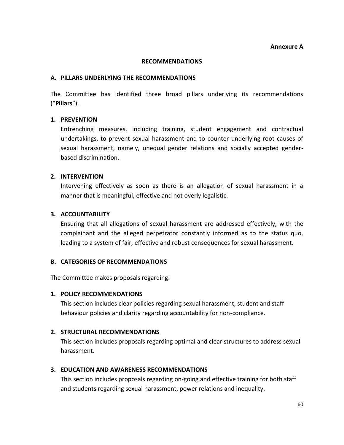**Annexure A**

#### **RECOMMENDATIONS**

#### **A. PILLARS UNDERLYING THE RECOMMENDATIONS**

The Committee has identified three broad pillars underlying its recommendations ("**Pillars**").

#### **1. PREVENTION**

Entrenching measures, including training, student engagement and contractual undertakings, to prevent sexual harassment and to counter underlying root causes of sexual harassment, namely, unequal gender relations and socially accepted genderbased discrimination.

#### **2. INTERVENTION**

Intervening effectively as soon as there is an allegation of sexual harassment in a manner that is meaningful, effective and not overly legalistic.

#### **3. ACCOUNTABILITY**

Ensuring that all allegations of sexual harassment are addressed effectively, with the complainant and the alleged perpetrator constantly informed as to the status quo, leading to a system of fair, effective and robust consequences for sexual harassment.

#### **B. CATEGORIES OF RECOMMENDATIONS**

The Committee makes proposals regarding:

#### **1. POLICY RECOMMENDATIONS**

This section includes clear policies regarding sexual harassment, student and staff behaviour policies and clarity regarding accountability for non-compliance.

### **2. STRUCTURAL RECOMMENDATIONS**

This section includes proposals regarding optimal and clear structures to address sexual harassment.

#### **3. EDUCATION AND AWARENESS RECOMMENDATIONS**

This section includes proposals regarding on-going and effective training for both staff and students regarding sexual harassment, power relations and inequality.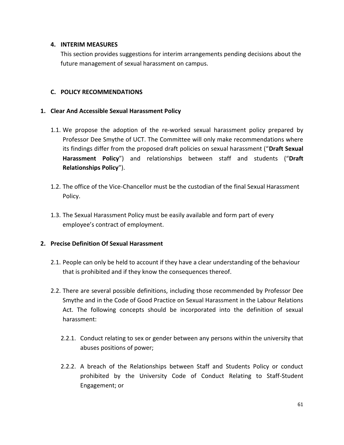### **4. INTERIM MEASURES**

This section provides suggestions for interim arrangements pending decisions about the future management of sexual harassment on campus.

### **C. POLICY RECOMMENDATIONS**

### **1. Clear And Accessible Sexual Harassment Policy**

- 1.1. We propose the adoption of the re-worked sexual harassment policy prepared by Professor Dee Smythe of UCT. The Committee will only make recommendations where its findings differ from the proposed draft policies on sexual harassment ("**Draft Sexual Harassment Policy**") and relationships between staff and students ("**Draft Relationships Policy**").
- 1.2. The office of the Vice-Chancellor must be the custodian of the final Sexual Harassment Policy.
- 1.3. The Sexual Harassment Policy must be easily available and form part of every employee's contract of employment.

### **2. Precise Definition Of Sexual Harassment**

- 2.1. People can only be held to account if they have a clear understanding of the behaviour that is prohibited and if they know the consequences thereof.
- 2.2. There are several possible definitions, including those recommended by Professor Dee Smythe and in the Code of Good Practice on Sexual Harassment in the Labour Relations Act. The following concepts should be incorporated into the definition of sexual harassment:
	- 2.2.1. Conduct relating to sex or gender between any persons within the university that abuses positions of power;
	- 2.2.2. A breach of the Relationships between Staff and Students Policy or conduct prohibited by the University Code of Conduct Relating to Staff-Student Engagement; or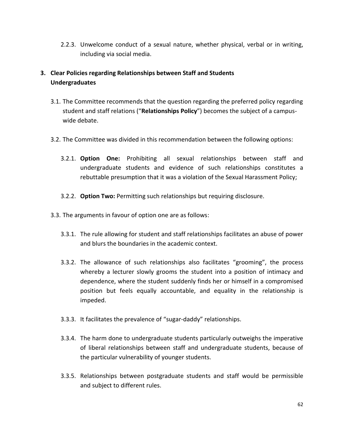2.2.3. Unwelcome conduct of a sexual nature, whether physical, verbal or in writing, including via social media.

# **3. Clear Policies regarding Relationships between Staff and Students Undergraduates**

- 3.1. The Committee recommends that the question regarding the preferred policy regarding student and staff relations ("**Relationships Policy**") becomes the subject of a campuswide debate.
- 3.2. The Committee was divided in this recommendation between the following options:
	- 3.2.1. **Option One:** Prohibiting all sexual relationships between staff and undergraduate students and evidence of such relationships constitutes a rebuttable presumption that it was a violation of the Sexual Harassment Policy;
	- 3.2.2. **Option Two:** Permitting such relationships but requiring disclosure.
- 3.3. The arguments in favour of option one are as follows:
	- 3.3.1. The rule allowing for student and staff relationships facilitates an abuse of power and blurs the boundaries in the academic context.
	- 3.3.2. The allowance of such relationships also facilitates "grooming", the process whereby a lecturer slowly grooms the student into a position of intimacy and dependence, where the student suddenly finds her or himself in a compromised position but feels equally accountable, and equality in the relationship is impeded.
	- 3.3.3. It facilitates the prevalence of "sugar-daddy" relationships.
	- 3.3.4. The harm done to undergraduate students particularly outweighs the imperative of liberal relationships between staff and undergraduate students, because of the particular vulnerability of younger students.
	- 3.3.5. Relationships between postgraduate students and staff would be permissible and subject to different rules.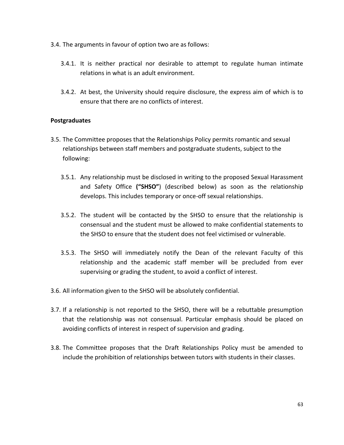- 3.4. The arguments in favour of option two are as follows:
	- 3.4.1. It is neither practical nor desirable to attempt to regulate human intimate relations in what is an adult environment.
	- 3.4.2. At best, the University should require disclosure, the express aim of which is to ensure that there are no conflicts of interest.

### **Postgraduates**

- 3.5. The Committee proposes that the Relationships Policy permits romantic and sexual relationships between staff members and postgraduate students, subject to the following:
	- 3.5.1. Any relationship must be disclosed in writing to the proposed Sexual Harassment and Safety Office **("SHSO"**) (described below) as soon as the relationship develops. This includes temporary or once-off sexual relationships.
	- 3.5.2. The student will be contacted by the SHSO to ensure that the relationship is consensual and the student must be allowed to make confidential statements to the SHSO to ensure that the student does not feel victimised or vulnerable.
	- 3.5.3. The SHSO will immediately notify the Dean of the relevant Faculty of this relationship and the academic staff member will be precluded from ever supervising or grading the student, to avoid a conflict of interest.
- 3.6. All information given to the SHSO will be absolutely confidential.
- 3.7. If a relationship is not reported to the SHSO, there will be a rebuttable presumption that the relationship was not consensual. Particular emphasis should be placed on avoiding conflicts of interest in respect of supervision and grading.
- 3.8. The Committee proposes that the Draft Relationships Policy must be amended to include the prohibition of relationships between tutors with students in their classes.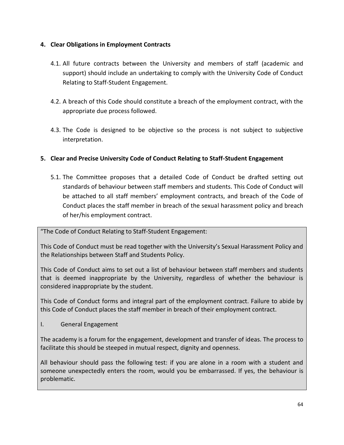# **4. Clear Obligations in Employment Contracts**

- 4.1. All future contracts between the University and members of staff (academic and support) should include an undertaking to comply with the University Code of Conduct Relating to Staff-Student Engagement.
- 4.2. A breach of this Code should constitute a breach of the employment contract, with the appropriate due process followed.
- 4.3. The Code is designed to be objective so the process is not subject to subjective interpretation.

# **5. Clear and Precise University Code of Conduct Relating to Staff-Student Engagement**

5.1. The Committee proposes that a detailed Code of Conduct be drafted setting out standards of behaviour between staff members and students. This Code of Conduct will be attached to all staff members' employment contracts, and breach of the Code of Conduct places the staff member in breach of the sexual harassment policy and breach of her/his employment contract.

"The Code of Conduct Relating to Staff-Student Engagement:

This Code of Conduct must be read together with the University's Sexual Harassment Policy and the Relationships between Staff and Students Policy.

This Code of Conduct aims to set out a list of behaviour between staff members and students that is deemed inappropriate by the University, regardless of whether the behaviour is considered inappropriate by the student.

This Code of Conduct forms and integral part of the employment contract. Failure to abide by this Code of Conduct places the staff member in breach of their employment contract.

I. General Engagement

The academy is a forum for the engagement, development and transfer of ideas. The process to facilitate this should be steeped in mutual respect, dignity and openness.

All behaviour should pass the following test: if you are alone in a room with a student and someone unexpectedly enters the room, would you be embarrassed. If yes, the behaviour is problematic.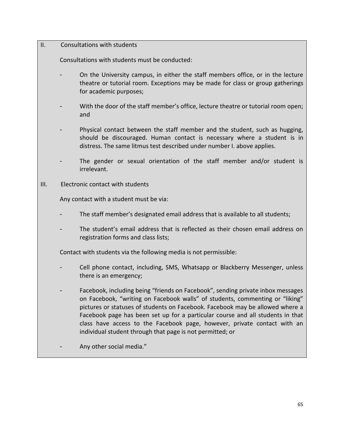### II. Consultations with students

Consultations with students must be conducted:

- On the University campus, in either the staff members office, or in the lecture theatre or tutorial room. Exceptions may be made for class or group gatherings for academic purposes;
- With the door of the staff member's office, lecture theatre or tutorial room open; and
- Physical contact between the staff member and the student, such as hugging, should be discouraged. Human contact is necessary where a student is in distress. The same litmus test described under number I. above applies.
- The gender or sexual orientation of the staff member and/or student is irrelevant.
- III. Electronic contact with students

Any contact with a student must be via:

- The staff member's designated email address that is available to all students;
- The student's email address that is reflected as their chosen email address on registration forms and class lists;

Contact with students via the following media is not permissible:

- Cell phone contact, including, SMS, Whatsapp or Blackberry Messenger, unless there is an emergency;
- Facebook, including being "friends on Facebook", sending private inbox messages on Facebook, "writing on Facebook walls" of students, commenting or "liking" pictures or statuses of students on Facebook. Facebook may be allowed where a Facebook page has been set up for a particular course and all students in that class have access to the Facebook page, however, private contact with an individual student through that page is not permitted; or
- Any other social media."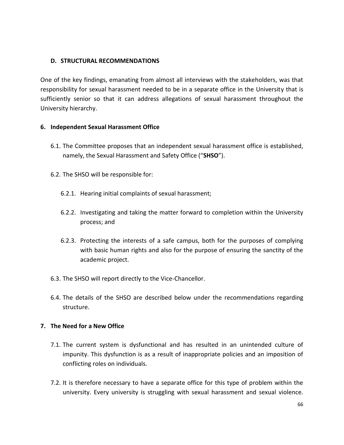### **D. STRUCTURAL RECOMMENDATIONS**

One of the key findings, emanating from almost all interviews with the stakeholders, was that responsibility for sexual harassment needed to be in a separate office in the University that is sufficiently senior so that it can address allegations of sexual harassment throughout the University hierarchy.

### **6. Independent Sexual Harassment Office**

- 6.1. The Committee proposes that an independent sexual harassment office is established, namely, the Sexual Harassment and Safety Office ("**SHSO**").
- 6.2. The SHSO will be responsible for:
	- 6.2.1. Hearing initial complaints of sexual harassment;
	- 6.2.2. Investigating and taking the matter forward to completion within the University process; and
	- 6.2.3. Protecting the interests of a safe campus, both for the purposes of complying with basic human rights and also for the purpose of ensuring the sanctity of the academic project.
- 6.3. The SHSO will report directly to the Vice-Chancellor.
- 6.4. The details of the SHSO are described below under the recommendations regarding structure.

# **7. The Need for a New Office**

- 7.1. The current system is dysfunctional and has resulted in an unintended culture of impunity. This dysfunction is as a result of inappropriate policies and an imposition of conflicting roles on individuals.
- 7.2. It is therefore necessary to have a separate office for this type of problem within the university. Every university is struggling with sexual harassment and sexual violence.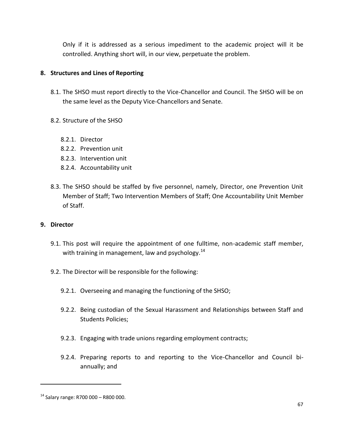Only if it is addressed as a serious impediment to the academic project will it be controlled. Anything short will, in our view, perpetuate the problem.

### **8. Structures and Lines of Reporting**

- 8.1. The SHSO must report directly to the Vice-Chancellor and Council. The SHSO will be on the same level as the Deputy Vice-Chancellors and Senate.
- 8.2. Structure of the SHSO
	- 8.2.1. Director
	- 8.2.2. Prevention unit
	- 8.2.3. Intervention unit
	- 8.2.4. Accountability unit
- 8.3. The SHSO should be staffed by five personnel, namely, Director, one Prevention Unit Member of Staff; Two Intervention Members of Staff; One Accountability Unit Member of Staff.

### **9. Director**

- 9.1. This post will require the appointment of one fulltime, non-academic staff member, with training in management, law and psychology. $^{14}$
- 9.2. The Director will be responsible for the following:
	- 9.2.1. Overseeing and managing the functioning of the SHSO;
	- 9.2.2. Being custodian of the Sexual Harassment and Relationships between Staff and Students Policies;
	- 9.2.3. Engaging with trade unions regarding employment contracts;
	- 9.2.4. Preparing reports to and reporting to the Vice-Chancellor and Council biannually; and

 $\overline{a}$ 

 $14$  Salary range: R700 000 - R800 000.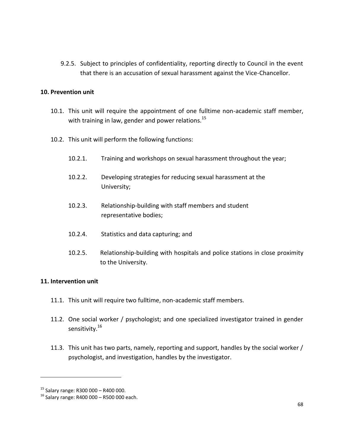9.2.5. Subject to principles of confidentiality, reporting directly to Council in the event that there is an accusation of sexual harassment against the Vice-Chancellor.

### **10. Prevention unit**

- 10.1. This unit will require the appointment of one fulltime non-academic staff member, with training in law, gender and power relations.<sup>15</sup>
- 10.2. This unit will perform the following functions:
	- 10.2.1. Training and workshops on sexual harassment throughout the year;
	- 10.2.2. Developing strategies for reducing sexual harassment at the University;
	- 10.2.3. Relationship-building with staff members and student representative bodies;
	- 10.2.4. Statistics and data capturing; and
	- 10.2.5. Relationship-building with hospitals and police stations in close proximity to the University.

### **11. Intervention unit**

- 11.1. This unit will require two fulltime, non-academic staff members.
- 11.2. One social worker / psychologist; and one specialized investigator trained in gender sensitivity.<sup>16</sup>
- 11.3. This unit has two parts, namely, reporting and support, handles by the social worker / psychologist, and investigation, handles by the investigator.

l

<sup>15</sup> Salary range: R300 000 – R400 000.

 $16$  Salary range: R400 000 – R500 000 each.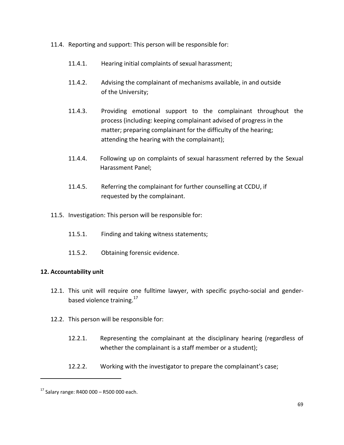- 11.4. Reporting and support: This person will be responsible for:
	- 11.4.1. Hearing initial complaints of sexual harassment;
	- 11.4.2. Advising the complainant of mechanisms available, in and outside of the University;
	- 11.4.3. Providing emotional support to the complainant throughout the process (including: keeping complainant advised of progress in the matter; preparing complainant for the difficulty of the hearing; attending the hearing with the complainant);
	- 11.4.4. Following up on complaints of sexual harassment referred by the Sexual Harassment Panel;
	- 11.4.5. Referring the complainant for further counselling at CCDU, if requested by the complainant.
- 11.5. Investigation: This person will be responsible for:
	- 11.5.1. Finding and taking witness statements;
	- 11.5.2. Obtaining forensic evidence.

# **12. Accountability unit**

- 12.1. This unit will require one fulltime lawyer, with specific psycho-social and genderbased violence training.<sup>17</sup>
- 12.2. This person will be responsible for:
	- 12.2.1. Representing the complainant at the disciplinary hearing (regardless of whether the complainant is a staff member or a student);
	- 12.2.2. Working with the investigator to prepare the complainant's case;

 $\overline{a}$ 

 $17$  Salary range: R400 000 – R500 000 each.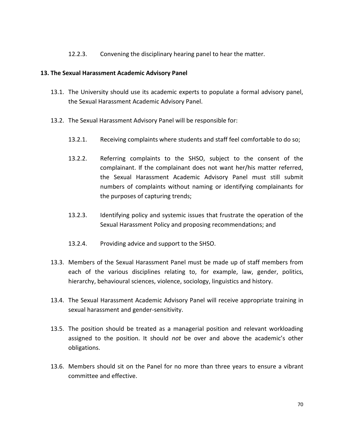12.2.3. Convening the disciplinary hearing panel to hear the matter.

### **13. The Sexual Harassment Academic Advisory Panel**

- 13.1. The University should use its academic experts to populate a formal advisory panel, the Sexual Harassment Academic Advisory Panel.
- 13.2. The Sexual Harassment Advisory Panel will be responsible for:
	- 13.2.1. Receiving complaints where students and staff feel comfortable to do so;
	- 13.2.2. Referring complaints to the SHSO, subject to the consent of the complainant. If the complainant does not want her/his matter referred, the Sexual Harassment Academic Advisory Panel must still submit numbers of complaints without naming or identifying complainants for the purposes of capturing trends;
	- 13.2.3. Identifying policy and systemic issues that frustrate the operation of the Sexual Harassment Policy and proposing recommendations; and
	- 13.2.4. Providing advice and support to the SHSO.
- 13.3. Members of the Sexual Harassment Panel must be made up of staff members from each of the various disciplines relating to, for example, law, gender, politics, hierarchy, behavioural sciences, violence, sociology, linguistics and history.
- 13.4. The Sexual Harassment Academic Advisory Panel will receive appropriate training in sexual harassment and gender-sensitivity.
- 13.5. The position should be treated as a managerial position and relevant workloading assigned to the position. It should *not* be over and above the academic's other obligations.
- 13.6. Members should sit on the Panel for no more than three years to ensure a vibrant committee and effective.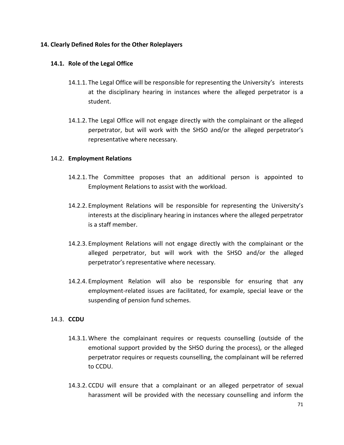### **14. Clearly Defined Roles for the Other Roleplayers**

### **14.1. Role of the Legal Office**

- 14.1.1. The Legal Office will be responsible for representing the University's interests at the disciplinary hearing in instances where the alleged perpetrator is a student.
- 14.1.2. The Legal Office will not engage directly with the complainant or the alleged perpetrator, but will work with the SHSO and/or the alleged perpetrator's representative where necessary.

### 14.2. **Employment Relations**

- 14.2.1. The Committee proposes that an additional person is appointed to Employment Relations to assist with the workload.
- 14.2.2. Employment Relations will be responsible for representing the University's interests at the disciplinary hearing in instances where the alleged perpetrator is a staff member.
- 14.2.3. Employment Relations will not engage directly with the complainant or the alleged perpetrator, but will work with the SHSO and/or the alleged perpetrator's representative where necessary.
- 14.2.4. Employment Relation will also be responsible for ensuring that any employment-related issues are facilitated, for example, special leave or the suspending of pension fund schemes.

# 14.3. **CCDU**

- 14.3.1. Where the complainant requires or requests counselling (outside of the emotional support provided by the SHSO during the process), or the alleged perpetrator requires or requests counselling, the complainant will be referred to CCDU.
- 14.3.2. CCDU will ensure that a complainant or an alleged perpetrator of sexual harassment will be provided with the necessary counselling and inform the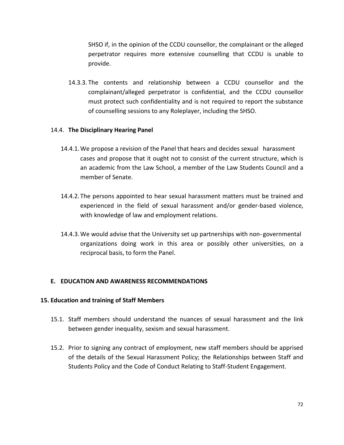SHSO if, in the opinion of the CCDU counsellor, the complainant or the alleged perpetrator requires more extensive counselling that CCDU is unable to provide.

14.3.3. The contents and relationship between a CCDU counsellor and the complainant/alleged perpetrator is confidential, and the CCDU counsellor must protect such confidentiality and is not required to report the substance of counselling sessions to any Roleplayer, including the SHSO.

# 14.4. **The Disciplinary Hearing Panel**

- 14.4.1.We propose a revision of the Panel that hears and decides sexual harassment cases and propose that it ought not to consist of the current structure, which is an academic from the Law School, a member of the Law Students Council and a member of Senate.
- 14.4.2.The persons appointed to hear sexual harassment matters must be trained and experienced in the field of sexual harassment and/or gender-based violence, with knowledge of law and employment relations.
- 14.4.3.We would advise that the University set up partnerships with non- governmental organizations doing work in this area or possibly other universities, on a reciprocal basis, to form the Panel.

# **E. EDUCATION AND AWARENESS RECOMMENDATIONS**

### **15. Education and training of Staff Members**

- 15.1. Staff members should understand the nuances of sexual harassment and the link between gender inequality, sexism and sexual harassment.
- 15.2. Prior to signing any contract of employment, new staff members should be apprised of the details of the Sexual Harassment Policy; the Relationships between Staff and Students Policy and the Code of Conduct Relating to Staff-Student Engagement.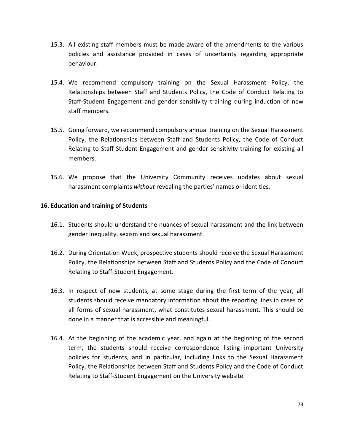- 15.3. All existing staff members must be made aware of the amendments to the various policies and assistance provided in cases of uncertainty regarding appropriate behaviour.
- 15.4. We recommend compulsory training on the Sexual Harassment Policy, the Relationships between Staff and Students Policy, the Code of Conduct Relating to Staff-Student Engagement and gender sensitivity training during induction of new staff members.
- 15.5. Going forward, we recommend compulsory annual training on the Sexual Harassment Policy, the Relationships between Staff and Students Policy, the Code of Conduct Relating to Staff-Student Engagement and gender sensitivity training for existing all members.
- 15.6. We propose that the University Community receives updates about sexual harassment complaints *without* revealing the parties' names or identities.

## **16. Education and training of Students**

- 16.1. Students should understand the nuances of sexual harassment and the link between gender inequality, sexism and sexual harassment.
- 16.2. During Orientation Week, prospective students should receive the Sexual Harassment Policy, the Relationships between Staff and Students Policy and the Code of Conduct Relating to Staff-Student Engagement.
- 16.3. In respect of new students, at some stage during the first term of the year, all students should receive mandatory information about the reporting lines in cases of all forms of sexual harassment, what constitutes sexual harassment. This should be done in a manner that is accessible and meaningful.
- 16.4. At the beginning of the academic year, and again at the beginning of the second term, the students should receive correspondence listing important University policies for students, and in particular, including links to the Sexual Harassment Policy, the Relationships between Staff and Students Policy and the Code of Conduct Relating to Staff-Student Engagement on the University website.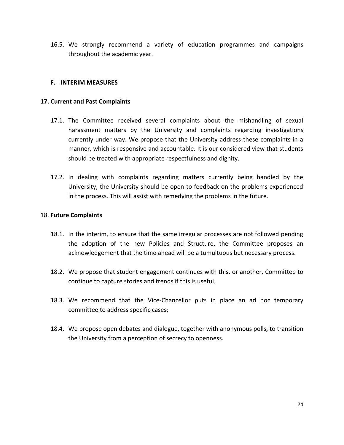16.5. We strongly recommend a variety of education programmes and campaigns throughout the academic year.

## **F. INTERIM MEASURES**

## **17. Current and Past Complaints**

- 17.1. The Committee received several complaints about the mishandling of sexual harassment matters by the University and complaints regarding investigations currently under way. We propose that the University address these complaints in a manner, which is responsive and accountable. It is our considered view that students should be treated with appropriate respectfulness and dignity.
- 17.2. In dealing with complaints regarding matters currently being handled by the University, the University should be open to feedback on the problems experienced in the process. This will assist with remedying the problems in the future.

#### 18. **Future Complaints**

- 18.1. In the interim, to ensure that the same irregular processes are not followed pending the adoption of the new Policies and Structure, the Committee proposes an acknowledgement that the time ahead will be a tumultuous but necessary process.
- 18.2. We propose that student engagement continues with this, or another, Committee to continue to capture stories and trends if this is useful;
- 18.3. We recommend that the Vice-Chancellor puts in place an ad hoc temporary committee to address specific cases;
- 18.4. We propose open debates and dialogue, together with anonymous polls, to transition the University from a perception of secrecy to openness.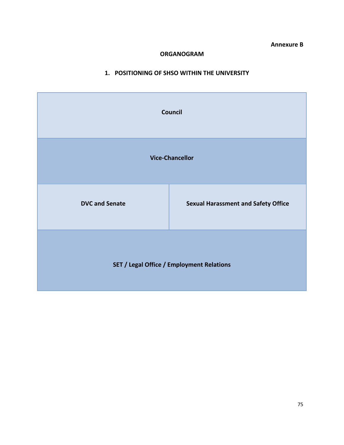**Annexure B**

## **ORGANOGRAM**

## **1. POSITIONING OF SHSO WITHIN THE UNIVERSITY**

| Council                                          |                                            |  |  |
|--------------------------------------------------|--------------------------------------------|--|--|
| <b>Vice-Chancellor</b>                           |                                            |  |  |
| <b>DVC and Senate</b>                            | <b>Sexual Harassment and Safety Office</b> |  |  |
| <b>SET / Legal Office / Employment Relations</b> |                                            |  |  |